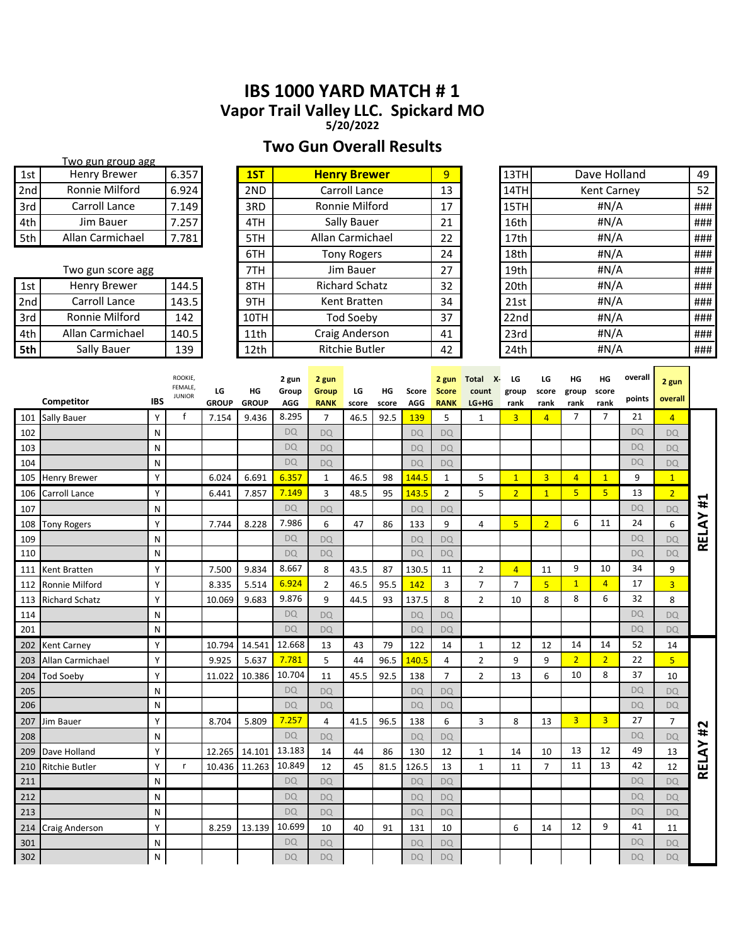# **IBS 1000 YARD MATCH # 1 Vapor Trail Valley LLC. Spickard MO**

**5/20/2022**

# **Two Gun Overall Results**

|     | Two gun group agg   |       |      |                       |    |      |                    |     |
|-----|---------------------|-------|------|-----------------------|----|------|--------------------|-----|
| 1st | <b>Henry Brewer</b> | 6.357 | 1ST  | <b>Henry Brewer</b>   | 9  | 13TH | Dave Holland       | 49  |
| 2nd | Ronnie Milford      | 6.924 | 2ND  | Carroll Lance         | 13 | 14TH | <b>Kent Carney</b> | 52  |
| 3rd | Carroll Lance       | 7.149 | 3RD  | Ronnie Milford        | 17 | 15TH | #N/A               | ### |
| 4th | Jim Bauer           | 7.257 | 4TH  | Sally Bauer           | 21 | 16th | #N/A               | ### |
| 5th | Allan Carmichael    | 7.781 | 5TH  | Allan Carmichael      | 22 | 17th | #N/A               | ### |
|     |                     |       | 6TH  | <b>Tony Rogers</b>    | 24 | 18th | #N/A               | ### |
|     | Two gun score agg   |       | 7TH  | Jim Bauer             | 27 | 19th | #N/A               | ### |
| 1st | Henry Brewer        | 144.5 | 8TH  | <b>Richard Schatz</b> | 32 | 20th | #N/A               | ### |
| 2nd | Carroll Lance       | 143.5 | 9TH  | Kent Bratten          | 34 | 21st | #N/A               | ### |
| 3rd | Ronnie Milford      | 142   | 10TH | <b>Tod Soeby</b>      | 37 | 22nd | #N/A               | ### |
| 4th | Allan Carmichael    | 140.5 | 11th | Craig Anderson        | 41 | 23rd | #N/A               | ### |
| 5th | Sally Bauer         | 139   | 12th | <b>Ritchie Butler</b> | 42 | 24th | #N/A               | ### |

|     | Competitor            | <b>IBS</b> | <b>ROOKIE</b><br>FEMALE,<br><b>JUNIOR</b> | LG<br><b>GROUP</b> | HG<br><b>GROUP</b> | 2 gun<br>Group<br>AGG | 2 gun<br>Group<br><b>RANK</b> | LG<br>score | HG<br>score | Score<br>AGG | 2 gun<br><b>Score</b><br><b>RANK</b> | Total<br>х.<br>count<br>LG+HG | LG<br>group<br>rank | LG<br>score<br>rank | HG<br>group<br>rank | ΗG<br>score<br>rank | overall<br>points | 2 gun<br>overall |       |
|-----|-----------------------|------------|-------------------------------------------|--------------------|--------------------|-----------------------|-------------------------------|-------------|-------------|--------------|--------------------------------------|-------------------------------|---------------------|---------------------|---------------------|---------------------|-------------------|------------------|-------|
| 101 | <b>Sally Bauer</b>    | Y          | $\mathsf{f}$                              | 7.154              | 9.436              | 8.295                 | 7                             | 46.5        | 92.5        | 139          | 5                                    | $\mathbf{1}$                  | 3                   | $\overline{4}$      | 7                   | $\overline{7}$      | 21                | $\overline{4}$   |       |
| 102 |                       | N          |                                           |                    |                    | <b>DQ</b>             | <b>DQ</b>                     |             |             | <b>DQ</b>    | <b>DQ</b>                            |                               |                     |                     |                     |                     | <b>DQ</b>         | <b>DQ</b>        |       |
| 103 |                       | N          |                                           |                    |                    | <b>DQ</b>             | DO                            |             |             | <b>DQ</b>    | <b>DQ</b>                            |                               |                     |                     |                     |                     | <b>DQ</b>         | <b>DQ</b>        |       |
| 104 |                       | N          |                                           |                    |                    | <b>DQ</b>             | <b>DQ</b>                     |             |             | <b>DQ</b>    | <b>DQ</b>                            |                               |                     |                     |                     |                     | <b>DQ</b>         | <b>DQ</b>        |       |
| 105 | <b>Henry Brewer</b>   | Y          |                                           | 6.024              | 6.691              | 6.357                 | $\mathbf{1}$                  | 46.5        | 98          | 144.5        | $\mathbf{1}$                         | 5                             | $\overline{1}$      | $\overline{3}$      | $\overline{4}$      | $\mathbf{1}$        | 9                 | $\overline{1}$   |       |
| 106 | Carroll Lance         | Υ          |                                           | 6.441              | 7.857              | 7.149                 | 3                             | 48.5        | 95          | 143.5        | $\overline{2}$                       | 5                             | $\overline{2}$      | $\mathbf{1}$        | 5 <sup>1</sup>      | 5 <sup>5</sup>      | 13                | $\overline{2}$   | #1    |
| 107 |                       | N          |                                           |                    |                    | <b>DQ</b>             | <b>DQ</b>                     |             |             | <b>DQ</b>    | <b>DQ</b>                            |                               |                     |                     |                     |                     | <b>DQ</b>         | <b>DQ</b>        |       |
| 108 | <b>Tony Rogers</b>    | Υ          |                                           | 7.744              | 8.228              | 7.986                 | 6                             | 47          | 86          | 133          | 9                                    | 4                             | 5                   | $\overline{2}$      | 6                   | 11                  | 24                | 6                | RELAY |
| 109 |                       | N          |                                           |                    |                    | <b>DQ</b>             | <b>DQ</b>                     |             |             | <b>DQ</b>    | <b>DQ</b>                            |                               |                     |                     |                     |                     | <b>DQ</b>         | <b>DQ</b>        |       |
| 110 |                       | N          |                                           |                    |                    | <b>DQ</b>             | <b>DQ</b>                     |             |             | <b>DQ</b>    | <b>DQ</b>                            |                               |                     |                     |                     |                     | <b>DQ</b>         | <b>DQ</b>        |       |
| 111 | Kent Bratten          | Υ          |                                           | 7.500              | 9.834              | 8.667                 | 8                             | 43.5        | 87          | 130.5        | 11                                   | 2                             | $\overline{4}$      | 11                  | 9                   | 10                  | 34                | 9                |       |
| 112 | Ronnie Milford        | Y          |                                           | 8.335              | 5.514              | 6.924                 | $\overline{2}$                | 46.5        | 95.5        | 142          | 3                                    | $\overline{7}$                | $\overline{7}$      | 5                   | $\mathbf{1}$        | $\overline{4}$      | 17                | $\overline{3}$   |       |
| 113 | <b>Richard Schatz</b> | Υ          |                                           | 10.069             | 9.683              | 9.876                 | 9                             | 44.5        | 93          | 137.5        | 8                                    | $\overline{2}$                | 10                  | 8                   | 8                   | 6                   | 32                | 8                |       |
| 114 |                       | N          |                                           |                    |                    | <b>DQ</b>             | <b>DQ</b>                     |             |             | <b>DQ</b>    | <b>DQ</b>                            |                               |                     |                     |                     |                     | <b>DQ</b>         | <b>DQ</b>        |       |
| 201 |                       | N          |                                           |                    |                    | <b>DQ</b>             | <b>DQ</b>                     |             |             | <b>DQ</b>    | <b>DQ</b>                            |                               |                     |                     |                     |                     | <b>DQ</b>         | <b>DQ</b>        |       |
| 202 | Kent Carney           | Υ          |                                           | 10.794             | 14.541             | 12.668                | 13                            | 43          | 79          | 122          | 14                                   | 1                             | 12                  | 12                  | 14                  | 14                  | 52                | 14               |       |
| 203 | Allan Carmichael      | Y          |                                           | 9.925              | 5.637              | 7.781                 | 5                             | 44          | 96.5        | 140.5        | 4                                    | $\overline{2}$                | 9                   | 9                   | $\overline{2}$      | $\overline{2}$      | 22                | $\overline{5}$   |       |
| 204 | <b>Tod Soeby</b>      | Y          |                                           | 11.022             | 10.386             | 10.704                | 11                            | 45.5        | 92.5        | 138          | 7                                    | 2                             | 13                  | 6                   | 10                  | 8                   | 37                | 10               |       |
| 205 |                       | N          |                                           |                    |                    | <b>DQ</b>             | DO                            |             |             | <b>DQ</b>    | <b>DQ</b>                            |                               |                     |                     |                     |                     | <b>DQ</b>         | <b>DQ</b>        |       |
| 206 |                       | N          |                                           |                    |                    | <b>DQ</b>             | <b>DQ</b>                     |             |             | <b>DQ</b>    | <b>DO</b>                            |                               |                     |                     |                     |                     | <b>DQ</b>         | <b>DQ</b>        |       |
| 207 | Jim Bauer             | Y          |                                           | 8.704              | 5.809              | 7.257                 | 4                             | 41.5        | 96.5        | 138          | 6                                    | 3                             | 8                   | 13                  | 3                   | 3                   | 27                | $\overline{7}$   | #2    |
| 208 |                       | N          |                                           |                    |                    | <b>DQ</b>             | <b>DQ</b>                     |             |             | <b>DQ</b>    | <b>DQ</b>                            |                               |                     |                     |                     |                     | <b>DQ</b>         | <b>DQ</b>        |       |
| 209 | Dave Holland          | Υ          |                                           | 12.265             | 14.101             | 13.183                | 14                            | 44          | 86          | 130          | 12                                   | $\mathbf{1}$                  | 14                  | 10                  | 13                  | 12                  | 49                | 13               | RELAY |
| 210 | Ritchie Butler        | Υ          | r                                         | 10.436             | 11.263             | 10.849                | 12                            | 45          | 81.5        | 126.5        | 13                                   | $\mathbf{1}$                  | 11                  | $\overline{7}$      | 11                  | 13                  | 42                | 12               |       |
| 211 |                       | N          |                                           |                    |                    | <b>DQ</b>             | <b>DQ</b>                     |             |             | <b>DQ</b>    | <b>DQ</b>                            |                               |                     |                     |                     |                     | <b>DQ</b>         | <b>DQ</b>        |       |
| 212 |                       | N          |                                           |                    |                    | <b>DQ</b>             | <b>DQ</b>                     |             |             | <b>DQ</b>    | <b>DQ</b>                            |                               |                     |                     |                     |                     | <b>DQ</b>         | <b>DQ</b>        |       |
| 213 |                       | N          |                                           |                    |                    | <b>DQ</b>             | DO                            |             |             | <b>DQ</b>    | <b>DQ</b>                            |                               |                     |                     |                     |                     | <b>DQ</b>         | <b>DQ</b>        |       |
| 214 | Craig Anderson        | Y          |                                           | 8.259              | 13.139             | 10.699                | 10                            | 40          | 91          | 131          | 10                                   |                               | 6                   | 14                  | 12                  | 9                   | 41                | 11               |       |
| 301 |                       | N          |                                           |                    |                    | <b>DQ</b>             | <b>DQ</b>                     |             |             | <b>DQ</b>    | <b>DQ</b>                            |                               |                     |                     |                     |                     | <b>DQ</b>         | <b>DQ</b>        |       |
| 302 |                       | N          |                                           |                    |                    | DQ                    | <b>DQ</b>                     |             |             | DQ           | <b>DQ</b>                            |                               |                     |                     |                     |                     | DQ                | <b>DQ</b>        |       |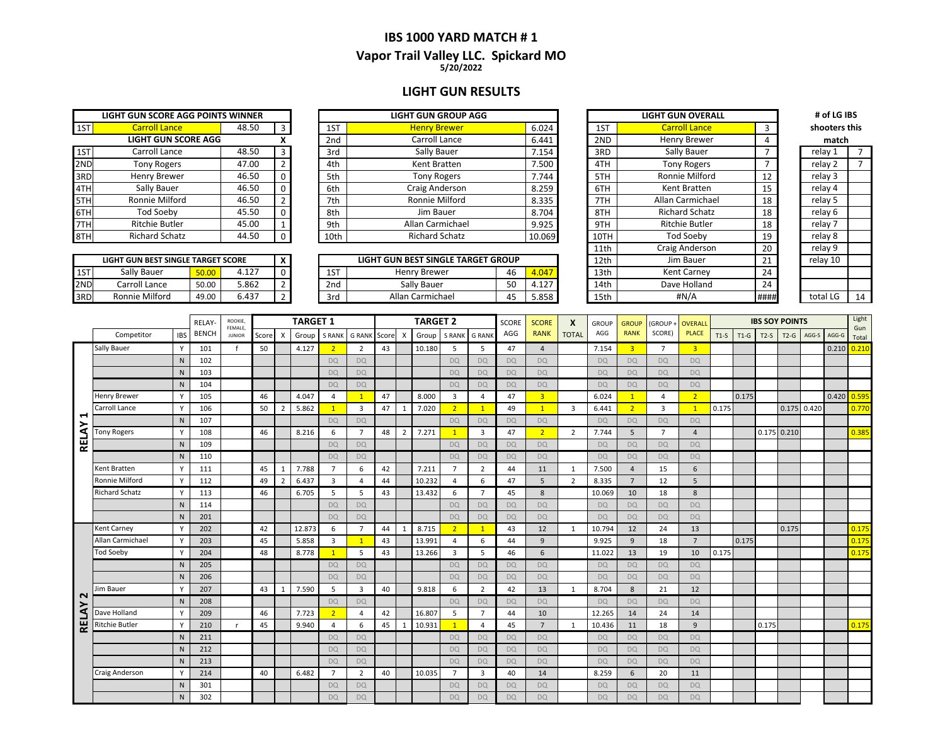### **IBS 1000 YARD MATCH # 1 5/20/2022 Vapor Trail Valley LLC. Spickard MO**

### **LIGHT GUN RESULTS**

|                       |       |                                                                 |                 | <b>LIGHT GUN GROUP AGG</b> |
|-----------------------|-------|-----------------------------------------------------------------|-----------------|----------------------------|
| <b>Carroll Lance</b>  | 48.50 | 3                                                               | 1ST             | <b>Henry Brewer</b>        |
|                       |       | x                                                               | 2 <sub>nd</sub> | Carroll Lance              |
| Carroll Lance         | 48.50 | 3                                                               | 3rd             | Sally Bauer                |
| <b>Tony Rogers</b>    | 47.00 | $\overline{2}$                                                  | 4th             | Kent Bratten               |
| Henry Brewer          | 46.50 | $\Omega$                                                        | 5th             | <b>Tony Rogers</b>         |
| Sally Bauer           | 46.50 | $\mathbf 0$                                                     | 6th             | Craig Anderson             |
| Ronnie Milford        | 46.50 | $\overline{2}$                                                  | 7th             | Ronnie Milford             |
| <b>Tod Soeby</b>      | 45.50 | $\mathbf 0$                                                     | 8th             | Jim Bauer                  |
| <b>Ritchie Butler</b> | 45.00 | $\mathbf{1}$                                                    | 9th             | Allan Carmichael           |
| <b>Richard Schatz</b> | 44.50 | $\Omega$                                                        | 10th            | <b>Richard Schatz</b>      |
|                       |       | LIGHT GUN SCORE AGG POINTS WINNER<br><b>LIGHT GUN SCORE AGG</b> |                 |                            |

| <b>LIGHT GUN BEST SINGLE TARGET SCORE</b> |                |       |         |  |  |  |  |  |  |  |  |  |  |
|-------------------------------------------|----------------|-------|---------|--|--|--|--|--|--|--|--|--|--|
| 1ST                                       | Sally Bauer    | 50.00 | 4 1 2 7 |  |  |  |  |  |  |  |  |  |  |
| 2ND                                       | Carroll Lance  | 50.00 | 5.862   |  |  |  |  |  |  |  |  |  |  |
|                                           | Ronnie Milford | 49.NO | 6.437   |  |  |  |  |  |  |  |  |  |  |

|     | LIGHT GUN SCORE AGG POINTS WINNER |       |  |                 | <b>LIGHT GUN GROUP AGG</b> |        |      | <b>LIGHT GUN OVERALL</b> |    | # of LG IBS   |  |
|-----|-----------------------------------|-------|--|-----------------|----------------------------|--------|------|--------------------------|----|---------------|--|
| 1ST | <b>Carroll Lance</b>              | 48.50 |  | 1ST             | <b>Henry Brewer</b>        | 6.024  | 1ST  | <b>Carroll Lance</b>     |    | shooters this |  |
|     | <b>LIGHT GUN SCORE AGG</b>        |       |  | 2 <sub>nd</sub> | Carroll Lance              | 6.441  | 2ND  | Henry Brewer             |    | match         |  |
| 1ST | Carroll Lance                     | 48.50 |  | 3rd             | Sally Bauer                | 7.154  | 3RD  | Sally Bauer              |    | relav 1       |  |
| 2ND | Tony Rogers                       | 47.00 |  | 4th             | Kent Bratten               | 7.500  | 4TH  | <b>Tony Rogers</b>       |    | relay 2       |  |
| 3RD | Henry Brewer                      | 46.50 |  | 5th             | <b>Tony Rogers</b>         | 7.744  | 5TH  | Ronnie Milford           | 12 | relay 3       |  |
| 4TH | Sally Bauer                       | 46.50 |  | 6th             | Craig Anderson             | 8.259  | 6TH  | Kent Bratten             |    | relay 4       |  |
| 5TH | Ronnie Milford                    | 46.50 |  | 7th             | Ronnie Milford             | 8.335  | 7TH  | Allan Carmichael         | 18 | relay 5       |  |
| 6TH | Tod Soebv                         | 45.50 |  | 8th             | Jim Bauer                  | 8.704  | 8TH  | <b>Richard Schatz</b>    | 18 | relay 6       |  |
| 7TH | <b>Ritchie Butler</b>             | 45.00 |  | 9th             | Allan Carmichael           | 9.925  | 9TH  | <b>Ritchie Butler</b>    | 18 | relay 7       |  |
| 8TH | <b>Richard Schatz</b>             | 44.50 |  | 10th            | <b>Richard Schatz</b>      | 10.069 | 10TH | Tod Soeby                | 19 | relay 8       |  |
|     |                                   |       |  |                 |                            |        |      |                          |    |               |  |

|     | LIGHT GUN BEST SINGLE TARGET SCORE |       |       |  |  |           | LIGHT GUN BEST SINGLE TARGET GROUP |                          |       | 12th | Jim Bauer          |                    | relay 10 |    |
|-----|------------------------------------|-------|-------|--|--|-----------|------------------------------------|--------------------------|-------|------|--------------------|--------------------|----------|----|
| 1ST | Sally Bauer                        |       | .127  |  |  | 1CT<br>⊥⊃ | Henry Brewer                       |                          | 4.047 | 13th | <b>Kent Carney</b> | 24                 |          |    |
| 2ND | Carroll Lance                      | 50.00 | 5.862 |  |  | 2nd       | Sally Bauer                        | 50                       | 4.127 | 14th | Dave Holland       | $\mathbf{a}$<br>24 |          |    |
| 3RD | Ronnie Milford                     | 49.00 | 0.437 |  |  | 3rd       | Allan Carmichael                   | $\overline{\phantom{a}}$ | 5.858 | 15th | #N/A               | ####               | total LC | 14 |

|      | <b>LIGHT GUN OVERALL</b> |      | # of LG IBS   |    |
|------|--------------------------|------|---------------|----|
| 1ST  | <b>Carroll Lance</b>     | 3    | shooters this |    |
| 2ND  | <b>Henry Brewer</b>      | 4    | match         |    |
| 3RD  | Sally Bauer              | 7    | relay 1       | 7  |
| 4TH  | <b>Tony Rogers</b>       | 7    | relay 2       | 7  |
| 5TH  | Ronnie Milford           | 12   | relay 3       |    |
| 6TH  | Kent Bratten             | 15   | relay 4       |    |
| 7TH  | Allan Carmichael         | 18   | relay 5       |    |
| 8TH  | <b>Richard Schatz</b>    | 18   | relay 6       |    |
| 9TH  | Ritchie Butler           | 18   | relay 7       |    |
| 10TH | <b>Tod Soeby</b>         | 19   | relay 8       |    |
| 11th | Craig Anderson           | 20   | relay 9       |    |
| 12th | Jim Bauer                | 21   | relay 10      |    |
| 13th | Kent Carney              | 24   |               |    |
| 14th | Dave Holland             | 24   |               |    |
| 15th | #N/A                     | #### | total LG      | 14 |

| shooters this |
|---------------|
| match         |
| 7             |
|               |
|               |
|               |
|               |
|               |
|               |
|               |
|               |
|               |
|               |
|               |
|               |
|               |

|        | Competitor            |            | <b>RELAY</b> | ROOKIE,                  |       |                | <b>TARGET 1</b> |                |                |       |                | <b>TARGET 2</b> |                |                         | <b>SCORE</b> | <b>SCORE</b>            | X              | <b>GROUP</b> | <b>GROUP</b>   | (GROUP         | <b>OVERALL</b> |        |        |        | <b>IBS SOY POINTS</b> |               |       | Light           |
|--------|-----------------------|------------|--------------|--------------------------|-------|----------------|-----------------|----------------|----------------|-------|----------------|-----------------|----------------|-------------------------|--------------|-------------------------|----------------|--------------|----------------|----------------|----------------|--------|--------|--------|-----------------------|---------------|-------|-----------------|
|        |                       | <b>IBS</b> | <b>BENCH</b> | FEMALE.<br><b>JUNIOR</b> | Score | $\times$       | Group           | <b>S RANK</b>  | <b>G RANK</b>  | Score |                | Group           | S RANK         | <b>G RANK</b>           | AGG          | <b>RANK</b>             | <b>TOTAL</b>   | AGG          | <b>RANK</b>    | SCORE)         | <b>PLACE</b>   | $T1-S$ | $T1-G$ | $T2-S$ | $T2-G$                | AGG-S         | AGG-G | Gun<br>Total    |
|        | Sally Bauer           | Y          | 101          | f                        | 50    |                | 4.127           | $\overline{2}$ | $\overline{2}$ | 43    |                | 10.180          | 5              | 5                       | 47           | $\overline{4}$          |                | 7.154        | $\overline{3}$ | $\overline{7}$ | 3 <sup>°</sup> |        |        |        |                       |               |       | $0.210$ $0.210$ |
|        |                       | N          | 102          |                          |       |                |                 | <b>DQ</b>      | <b>DQ</b>      |       |                |                 | <b>DQ</b>      | <b>DQ</b>               | <b>DQ</b>    | <b>DQ</b>               |                | <b>DQ</b>    | <b>DQ</b>      | <b>DQ</b>      | <b>DQ</b>      |        |        |        |                       |               |       |                 |
|        |                       | N          | 103          |                          |       |                |                 | <b>DQ</b>      | <b>DQ</b>      |       |                |                 | <b>DQ</b>      | <b>DQ</b>               | <b>DQ</b>    | <b>DQ</b>               |                | <b>DQ</b>    | <b>DQ</b>      | <b>DQ</b>      | <b>DQ</b>      |        |        |        |                       |               |       |                 |
|        |                       | N          | 104          |                          |       |                |                 | <b>DQ</b>      | DQ             |       |                |                 | DQ             | DO                      | <b>DQ</b>    | <b>DQ</b>               |                | DQ           | <b>DQ</b>      | <b>DQ</b>      | <b>DQ</b>      |        |        |        |                       |               |       |                 |
|        | <b>Henry Brewer</b>   | Y          | 105          |                          | 46    |                | 4.047           | 4              | $\mathbf{1}$   | 47    |                | 8.000           | 3              | $\overline{4}$          | 47           | $\overline{\mathbf{3}}$ |                | 6.024        | $\mathbf{1}$   | 4              | $\overline{2}$ |        | 0.175  |        |                       |               |       | $0.420$ 0.595   |
|        | Carroll Lance         | Y          | 106          |                          | 50    | $\overline{2}$ | 5.862           | $\mathbf{1}$   | 3              | 47    |                | 7.020           | $\overline{2}$ | $\overline{1}$          | 49           | $\mathbf{1}$            | 3              | 6.441        | 2 <sup>2</sup> | 3              | $\overline{1}$ | 0.175  |        |        |                       | $0.175$ 0.420 |       | 0.770           |
| ⊣      |                       | N          | 107          |                          |       |                |                 | <b>DQ</b>      | <b>DQ</b>      |       |                |                 | DQ             | <b>DQ</b>               | <b>DQ</b>    | <b>DQ</b>               |                | <b>DQ</b>    | <b>DQ</b>      | <b>DQ</b>      | <b>DQ</b>      |        |        |        |                       |               |       |                 |
| RELAY  | <b>Tony Rogers</b>    |            | 108          |                          | 46    |                | 8.216           | 6              | $\overline{7}$ | 48    | $\overline{2}$ | 7.271           | $\overline{1}$ | $\overline{3}$          | 47           | $\overline{2}$          | $\overline{2}$ | 7.744        | 5              | $\overline{7}$ | $\overline{4}$ |        |        |        | $0.175$ 0.210         |               |       | 0.385           |
|        |                       | N          | 109          |                          |       |                |                 | <b>DQ</b>      | <b>DQ</b>      |       |                |                 | <b>DQ</b>      | <b>DO</b>               | <b>DQ</b>    | <b>DQ</b>               |                | <b>DO</b>    | <b>DQ</b>      | <b>DQ</b>      | <b>DO</b>      |        |        |        |                       |               |       |                 |
|        |                       | N          | 110          |                          |       |                |                 | <b>DQ</b>      | <b>DQ</b>      |       |                |                 | DQ             | <b>DQ</b>               | <b>DQ</b>    | <b>DQ</b>               |                | DQ           | <b>DQ</b>      | <b>DQ</b>      | <b>DQ</b>      |        |        |        |                       |               |       |                 |
|        | Kent Bratten          | Y          | 111          |                          | 45    | $\mathbf{1}$   | 7.788           | $\overline{7}$ | 6              | 42    |                | 7.211           | $\overline{7}$ | $\overline{2}$          | 44           | 11                      | 1              | 7.500        | $\overline{4}$ | 15             | 6              |        |        |        |                       |               |       |                 |
|        | Ronnie Milford        | Y          | 112          |                          | 49    | $\overline{2}$ | 6.437           | 3              | 4              | 44    |                | 10.232          | 4              | 6                       | 47           | 5                       | 2              | 8.335        | $\overline{7}$ | 12             | 5              |        |        |        |                       |               |       |                 |
|        | <b>Richard Schatz</b> | Y          | 113          |                          | 46    |                | 6.705           | 5              | 5              | 43    |                | 13.432          | 6              | $\overline{7}$          | 45           | 8                       |                | 10.069       | 10             | 18             | 8              |        |        |        |                       |               |       |                 |
|        |                       | N          | 114          |                          |       |                |                 | <b>DQ</b>      | <b>DO</b>      |       |                |                 | DQ             | <b>DO</b>               | <b>DO</b>    | <b>DO</b>               |                | DQ           | <b>DO</b>      | <b>DO</b>      | <b>DO</b>      |        |        |        |                       |               |       |                 |
|        |                       | N          | 201          |                          |       |                |                 | <b>DQ</b>      | <b>DQ</b>      |       |                |                 | DQ             | DO                      | <b>DQ</b>    | <b>DQ</b>               |                | DQ           | <b>DQ</b>      | <b>DQ</b>      | <b>DQ</b>      |        |        |        |                       |               |       |                 |
|        | <b>Kent Carney</b>    | Y          | 202          |                          | 42    |                | 12.873          | 6              | $\overline{7}$ | 44    |                | 8.715           | $\overline{2}$ | $\mathbf{1}$            | 43           | 12                      | $\mathbf{1}$   | 10.794       | 12             | 24             | 13             |        |        |        | 0.175                 |               |       | 0.175           |
|        | Allan Carmichael      | Y          | 203          |                          | 45    |                | 5.858           | 3              | $\mathbf{1}$   | 43    |                | 13.991          | 4              | 6                       | 44           | 9                       |                | 9.925        | 9              | 18             | $\overline{7}$ |        | 0.175  |        |                       |               |       | 0.175           |
|        | <b>Tod Soeby</b>      |            | 204          |                          | 48    |                | 8.778           | $\mathbf{1}$   | 5              | 43    |                | 13.266          | 3              | 5                       | 46           | 6                       |                | 11.022       | 13             | 19             | 10             | 0.175  |        |        |                       |               |       | 0.175           |
|        |                       | N          | 205          |                          |       |                |                 | <b>DQ</b>      | <b>DQ</b>      |       |                |                 | <b>DQ</b>      | DO                      | <b>DQ</b>    | <b>DQ</b>               |                | DQ           | <b>DQ</b>      | <b>DQ</b>      | <b>DQ</b>      |        |        |        |                       |               |       |                 |
|        |                       | N          | 206          |                          |       |                |                 | <b>DQ</b>      | DQ             |       |                |                 | DQ             | DO.                     | <b>DO</b>    | <b>DO</b>               |                | DQ           | <b>DQ</b>      | <b>DQ</b>      | <b>DQ</b>      |        |        |        |                       |               |       |                 |
| $\sim$ | Jim Bauer             | Y          | 207          |                          | 43    | $\mathbf{1}$   | 7.590           | 5              | 3              | 40    |                | 9.818           | 6              | $\overline{2}$          | 42           | 13                      |                | 8.704        | 8              | 21             | 12             |        |        |        |                       |               |       |                 |
|        |                       | N          | 208          |                          |       |                |                 | <b>DQ</b>      | DQ             |       |                |                 | DQ             | DO.                     | <b>DQ</b>    | <b>DQ</b>               |                | DQ           | <b>DQ</b>      | <b>DQ</b>      | <b>DQ</b>      |        |        |        |                       |               |       |                 |
| RELAY  | Dave Holland          | <b>V</b>   | 209          |                          | 46    |                | 7.723           | $\overline{2}$ | 4              | 42    |                | 16.807          | 5              | $\overline{7}$          | 44           | 10                      |                | 12.265       | 14             | 24             | 14             |        |        |        |                       |               |       |                 |
|        | <b>Ritchie Butler</b> | Y          | 210          | <b>r</b>                 | 45    |                | 9.940           | $\overline{4}$ | 6              | 45    |                | 10.931          | $\overline{1}$ | $\overline{4}$          | 45           | $\overline{7}$          | $\overline{1}$ | 10.436       | 11             | 18             | 9              |        |        | 0.175  |                       |               |       | 0.175           |
|        |                       | N          | 211          |                          |       |                |                 | <b>DQ</b>      | <b>DQ</b>      |       |                |                 | DQ             | <b>DQ</b>               | <b>DQ</b>    | DQ                      |                | DQ           | <b>DQ</b>      | <b>DQ</b>      | <b>DQ</b>      |        |        |        |                       |               |       |                 |
|        |                       | N          | 212          |                          |       |                |                 | <b>DQ</b>      | <b>DQ</b>      |       |                |                 | <b>DQ</b>      | <b>DO</b>               | <b>DQ</b>    | <b>DQ</b>               |                | <b>DQ</b>    | <b>DQ</b>      | <b>DQ</b>      | <b>DQ</b>      |        |        |        |                       |               |       |                 |
|        |                       | N          | 213          |                          |       |                |                 | <b>DQ</b>      | <b>DQ</b>      |       |                |                 | DQ             | DO.                     | <b>DO</b>    | <b>DO</b>               |                | <b>DQ</b>    | <b>DO</b>      | <b>DQ</b>      | <b>DQ</b>      |        |        |        |                       |               |       |                 |
|        | <b>Craig Anderson</b> | Y          | 214          |                          | 40    |                | 6.482           | $\overline{7}$ | $\overline{2}$ | 40    |                | 10.035          | $\overline{7}$ | $\overline{\mathbf{3}}$ | 40           | 14                      |                | 8.259        | 6              | 20             | 11             |        |        |        |                       |               |       |                 |
|        |                       | N          | 301          |                          |       |                |                 | <b>DQ</b>      | <b>DO</b>      |       |                |                 | <b>DO</b>      | DO.                     | <b>DQ</b>    | <b>DQ</b>               |                | DQ           | <b>DQ</b>      | <b>DQ</b>      | <b>DQ</b>      |        |        |        |                       |               |       |                 |
|        |                       | N          | 302          |                          |       |                |                 | <b>DQ</b>      | <b>DO</b>      |       |                |                 | DQ             | <b>DO</b>               | <b>DO</b>    | <b>DQ</b>               |                | <b>DQ</b>    | <b>DO</b>      | <b>DQ</b>      | <b>DO</b>      |        |        |        |                       |               |       |                 |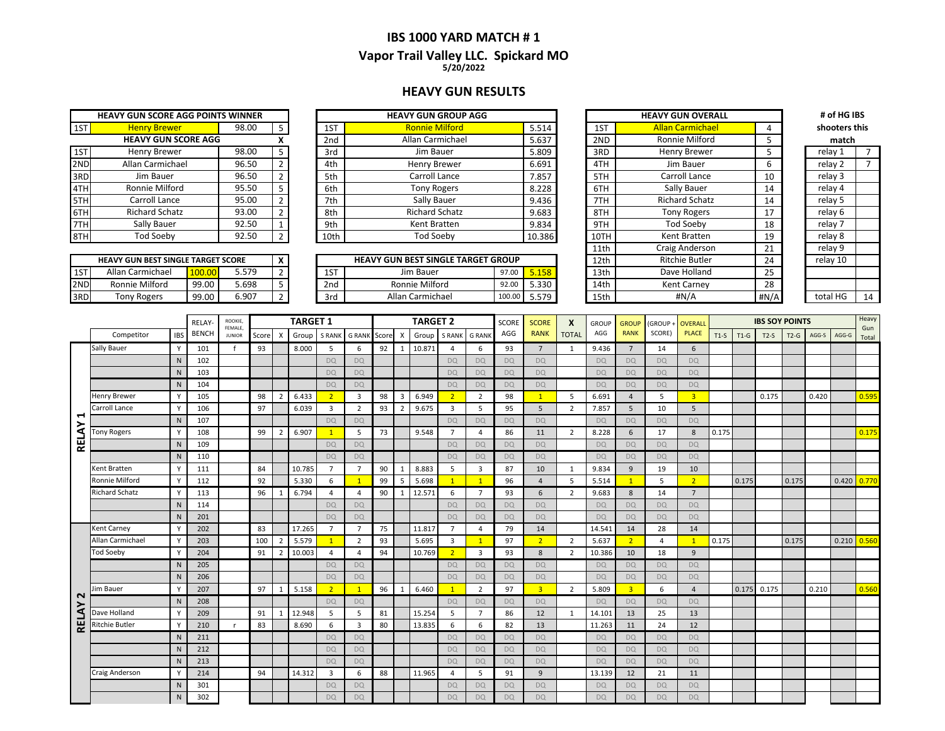### **IBS 1000 YARD MATCH # 1 Vapor Trail Valley LLC. Spickard MO 5/20/2022**

#### **HEAVY GUN RESULTS**

|     | <b>HEAVY GUN SCORE AGG POINTS WINNER</b> |       |                |
|-----|------------------------------------------|-------|----------------|
| 1ST | <b>Henry Brewer</b>                      | 98.00 | 5              |
|     | <b>HEAVY GUN SCORE AGG</b>               |       | x              |
| 1ST | Henry Brewer                             | 98.00 | 5              |
| 2ND | Allan Carmichael                         | 96.50 | 2              |
| 3RD | Jim Bauer                                | 96.50 | $\overline{2}$ |
| 4TH | Ronnie Milford                           | 95.50 | 5              |
| 5TH | Carroll Lance                            | 95.00 | $\overline{2}$ |
| 6TH | <b>Richard Schatz</b>                    | 93.00 | $\overline{2}$ |
| 7TH | Sally Bauer                              | 92.50 | 1              |
|     | <b>Tod Soeby</b>                         | 92.50 | $\overline{2}$ |

| <b>HEAVY GUN BEST SINGLE TARGET SCORE</b> |                    |        |       |  |  |  |  |  |  |  |  |  |  |
|-------------------------------------------|--------------------|--------|-------|--|--|--|--|--|--|--|--|--|--|
| 1ST                                       | Allan Carmichael   | 100,00 | 5.579 |  |  |  |  |  |  |  |  |  |  |
| 2ND                                       | Ronnie Milford     | 99.00  | 5.698 |  |  |  |  |  |  |  |  |  |  |
|                                           | <b>Tony Rogers</b> | 99.00  | 6.907 |  |  |  |  |  |  |  |  |  |  |

|     | <b>HEAVY GUN SCORE AGG POINTS WINNER</b> |       |  |                 | <b>HEAVY GUN GROUP AGG</b> |        |      | <b>HEAVY GUN OVERALL</b> |    | # of HG IBS   |  |
|-----|------------------------------------------|-------|--|-----------------|----------------------------|--------|------|--------------------------|----|---------------|--|
| 1ST | <b>Henry Brewer</b>                      | 98.00 |  | 1ST             | <b>Ronnie Milford</b>      | 5.514  | 1ST  | <b>Allan Carmichael</b>  |    | shooters this |  |
|     | <b>HEAVY GUN SCORE AGG</b>               |       |  | 2 <sub>nd</sub> | Allan Carmichael           | 5.637  | 2ND  | Ronnie Milford           |    | match         |  |
| 1ST | <b>Henry Brewer</b>                      | 98.00 |  | 3rd             | Jim Bauer                  | 5.809  | 3RD  | Henry Brewer             |    | relay 1       |  |
| 2ND | Allan Carmichael                         | 96.50 |  | 4th             | Henry Brewer               | 6.691  | 4TH  | Jim Bauer                | b  | relay 2       |  |
| 3RD | Jim Bauer                                | 96.50 |  | 5th             | Carroll Lance              | 7.857  | 5TH  | Carroll Lance            | 10 | relay 3       |  |
| 4TH | Ronnie Milford                           | 95.50 |  | 6th             | <b>Tony Rogers</b>         | 8.228  | 6TH  | Sally Bauer              | 14 | relay 4       |  |
| 5TH | Carroll Lance                            | 95.00 |  | 7th             | Sally Bauer                | 9.436  | 7TH  | <b>Richard Schatz</b>    | 14 | relay 5       |  |
| 6TH | Richard Schatz                           | 93.00 |  | 8th             | <b>Richard Schatz</b>      | 9.683  | 8TH  | <b>Tony Rogers</b>       | 17 | relay 6       |  |
| 7TH | Sally Bauer                              | 92.50 |  | 9th             | Kent Bratten               | 9.834  | 9TH  | <b>Tod Soeby</b>         | 18 | relay 7       |  |
| 8TH | Tod Soeby                                | 92.50 |  | 10th            | Tod Soeby                  | 10.386 | 10TH | Kent Bratten             | 19 | relay 8       |  |
|     |                                          |       |  |                 |                            |        |      |                          |    |               |  |

|     | <b>HEAVY GUN BEST SINGLE TARGET SCORE</b> |              |       |  |     | <b>HEAVY GUN BEST SINGLE TARGET GROUP</b> |        |              | 12th             | <b>Ritchie Butler</b> | $\sim$        | relav 10 |    |
|-----|-------------------------------------------|--------------|-------|--|-----|-------------------------------------------|--------|--------------|------------------|-----------------------|---------------|----------|----|
| 1ST | Allan Carmichael                          |              | 579.ر |  | 1ST | Jim Bauer                                 | 97.00  | <u>J.LJO</u> | 13 <sub>th</sub> | Dave Holland          | $\sim$ $\sim$ |          |    |
| 2ND | <b>Ronnie Milford</b>                     | <b>99.00</b> | .698  |  | 2nd | Ronnie Milford                            | 920    | 5.330        | 14th             | <b>Kent Carney</b>    | 28            |          |    |
| 3RD | Tony Rogers                               | 99.00        | 6.907 |  | 3rd | Allan Carmichael                          | 100.00 | 5.579        | 15th             | #N/A                  | #N/A          | total HG | 14 |

| HEAVY GUN GROUP AGG                 |        |        |                  | <b>HEAVY GUN OVERALL</b> |      | # of HG IBS   |    |
|-------------------------------------|--------|--------|------------------|--------------------------|------|---------------|----|
| <b>Ronnie Milford</b>               |        | 5.514  | 1ST              | <b>Allan Carmichael</b>  | 4    | shooters this |    |
| Allan Carmichael                    |        | 5.637  | 2ND              | Ronnie Milford           | 5.   | match         |    |
| Jim Bauer                           |        | 5.809  | 3RD              | <b>Henry Brewer</b>      | 5    | relay 1       | 7  |
| Henry Brewer                        |        | 6.691  | 4TH              | Jim Bauer                | 6    | relay 2       | 7  |
| Carroll Lance                       |        | 7.857  | 5TH              | Carroll Lance            | 10   | relay 3       |    |
| <b>Tony Rogers</b>                  |        | 8.228  | 6TH              | Sally Bauer              | 14   | relay 4       |    |
| Sally Bauer                         |        | 9.436  | 7TH              | <b>Richard Schatz</b>    | 14   | relay 5       |    |
| <b>Richard Schatz</b>               |        | 9.683  | 8TH              | <b>Tony Rogers</b>       | 17   | relay 6       |    |
| Kent Bratten                        |        | 9.834  | 9TH              | <b>Tod Soebv</b>         | 18   | relay 7       |    |
| Tod Soeby                           |        | 10.386 | 10TH             | Kent Bratten             | 19   | relay 8       |    |
|                                     |        |        | 11th             | Craig Anderson           | 21   | relay 9       |    |
| <b>GUN BEST SINGLE TARGET GROUP</b> |        |        | 12 <sub>th</sub> | <b>Ritchie Butler</b>    | 24   | relay 10      |    |
| Jim Bauer                           | 97.00  | 5.158  | 13 <sub>th</sub> | Dave Holland             | 25   |               |    |
| Ronnie Milford                      | 92.00  | 5.330  | 14th             | Kent Carney              | 28   |               |    |
| Allan Carmichael                    | 100.00 | 5.579  | 15th             | #N/A                     | #N/A | total HG      | 14 |

relay 7 relay 4 relay 1 **match**

|                       |                       |              | <b>RELAY</b> | ROOKIE,<br>FEMALE. |       |                | <b>TARGET 1</b> |                         |                         |       |                         | <b>TARGET 2</b> |                |                         | SCORE     | <b>SCORE</b>   | X              | <b>GROUP</b> | <b>GROUP</b>            | (GROUP+        | <b>OVERALI</b>          |        |        | <b>IBS SOY POINTS</b> |        |       |       | Heavy        |
|-----------------------|-----------------------|--------------|--------------|--------------------|-------|----------------|-----------------|-------------------------|-------------------------|-------|-------------------------|-----------------|----------------|-------------------------|-----------|----------------|----------------|--------------|-------------------------|----------------|-------------------------|--------|--------|-----------------------|--------|-------|-------|--------------|
|                       | Competitor            | <b>IBS</b>   | <b>BENCH</b> | <b>JUNIOR</b>      | Score | $\mathsf{x}$   | Group           | <b>S RANK</b>           | <b>G RANK</b>           | Score | X                       | Group           | <b>S RANK</b>  | <b>G RANK</b>           | AGG       | <b>RANK</b>    | <b>TOTAL</b>   | AGG          | <b>RANK</b>             | SCORE)         | <b>PLACE</b>            | $T1-S$ | $T1-G$ | $T2-S$                | $T2-G$ | AGG-S | AGG-G | Gun<br>Total |
|                       | Sally Bauer           |              | 101          |                    | 93    |                | 8.000           | -5                      | -6                      | 92    | -1                      | 10.871          | $\overline{a}$ | 6                       | 93        | $\overline{7}$ | 1              | 9.436        | $\overline{7}$          | 14             | 6                       |        |        |                       |        |       |       |              |
|                       |                       | N            | 102          |                    |       |                |                 | DQ                      | <b>DQ</b>               |       |                         |                 | <b>DO</b>      | <b>DQ</b>               | DO.       | <b>DO</b>      |                | <b>DQ</b>    | <b>DQ</b>               | <b>DQ</b>      | <b>DQ</b>               |        |        |                       |        |       |       |              |
|                       |                       | $\mathsf{N}$ | 103          |                    |       |                |                 | DQ                      | <b>DQ</b>               |       |                         |                 | <b>DO</b>      | <b>DQ</b>               | <b>DO</b> | <b>DO</b>      |                | <b>DQ</b>    | <b>DQ</b>               | <b>DO</b>      | <b>DO</b>               |        |        |                       |        |       |       |              |
|                       |                       | N.           | 104          |                    |       |                |                 | DQ                      | DQ                      |       |                         |                 | DO.            | DQ                      | <b>DQ</b> | <b>DQ</b>      |                | <b>DQ</b>    | <b>DQ</b>               | <b>DQ</b>      | <b>DQ</b>               |        |        |                       |        |       |       |              |
|                       | Henry Brewer          |              | 105          |                    | 98    | $\overline{2}$ | 6.433           | 2                       | $\overline{\mathbf{3}}$ | 98    | $\overline{\mathbf{3}}$ | 6.949           | $\overline{2}$ | $\overline{2}$          | 98        | $\mathbf{1}$   | 5              | 6.691        | $\overline{4}$          | 5              | $\overline{\mathbf{3}}$ |        |        | 0.175                 |        | 0.420 |       | 0.595        |
|                       | Carroll Lance         | $\checkmark$ | 106          |                    | 97    |                | 6.039           | $\overline{3}$          | $\overline{2}$          | 93    | $\overline{2}$          | 9.675           | $\overline{3}$ | 5                       | 95        | 5              | $\overline{2}$ | 7.857        | 5                       | 10             | 5                       |        |        |                       |        |       |       |              |
| ⊣                     |                       | N            | 107          |                    |       |                |                 | <b>DQ</b>               | <b>DQ</b>               |       |                         |                 | <b>DO</b>      | <b>DQ</b>               | <b>DO</b> | <b>DO</b>      |                | <b>DQ</b>    | <b>DQ</b>               | <b>DQ</b>      | <b>DQ</b>               |        |        |                       |        |       |       |              |
|                       | <b>Tony Rogers</b>    |              | 108          |                    | 99    | $\overline{2}$ | 6.907           |                         | 5                       | 73    |                         | 9.548           | $\overline{7}$ | $\overline{4}$          | 86        | 11             | $\overline{2}$ | 8.228        | 6                       | 17             | 8                       | 0.175  |        |                       |        |       |       | 0.175        |
| <b>RELAY</b>          |                       | N            | 109          |                    |       |                |                 | <b>DQ</b>               | <b>DQ</b>               |       |                         |                 | <b>DQ</b>      | <b>DQ</b>               | DO.       | <b>DQ</b>      |                | <b>DQ</b>    | <b>DQ</b>               | <b>DQ</b>      | <b>DQ</b>               |        |        |                       |        |       |       |              |
|                       |                       | N            | 110          |                    |       |                |                 | <b>DQ</b>               | <b>DO</b>               |       |                         |                 | DO.            | DQ                      | <b>DQ</b> | <b>DQ</b>      |                | <b>DQ</b>    | <b>DQ</b>               | <b>DQ</b>      | <b>DQ</b>               |        |        |                       |        |       |       |              |
|                       | Kent Bratten          |              | 111          |                    | 84    |                | 10.785          | $\overline{7}$          | $\overline{7}$          | 90    | 1                       | 8.883           | 5              | $\overline{3}$          | 87        | 10             | 1              | 9.834        | 9                       | 19             | 10                      |        |        |                       |        |       |       |              |
|                       | Ronnie Milford        | $\mathsf{v}$ | 112          |                    | 92    |                | 5.330           | 6                       | $\overline{1}$          | 99    | 5                       | 5.698           | 1              | $\overline{1}$          | 96        | $\overline{4}$ | 5              | 5.514        | $\overline{1}$          | 5              | $\overline{2}$          |        | 0.175  |                       | 0.175  |       | 0.420 | 0.770        |
|                       | <b>Richard Schatz</b> | $\checkmark$ | 113          |                    | 96    | -1             | 6.794           | 4                       | -4                      | 90    | 1                       | 12.571          | 6              | $\overline{7}$          | 93        | 6              | $\overline{2}$ | 9.683        | 8                       | 14             | $\overline{7}$          |        |        |                       |        |       |       |              |
|                       |                       | N            | 114          |                    |       |                |                 | <b>DQ</b>               | <b>DQ</b>               |       |                         |                 | DO.            | <b>DQ</b>               | <b>DQ</b> | <b>DQ</b>      |                | <b>DQ</b>    | <b>DQ</b>               | <b>DQ</b>      | <b>DQ</b>               |        |        |                       |        |       |       |              |
|                       |                       | N            | 201          |                    |       |                |                 | DQ                      | <b>DO</b>               |       |                         |                 | DO.            | <b>DQ</b>               | <b>DQ</b> | DQ             |                | <b>DQ</b>    | <b>DQ</b>               | DQ             | <b>DQ</b>               |        |        |                       |        |       |       |              |
|                       | Kent Carney           |              | 202          |                    | 83    |                | 17.265          | $\overline{7}$          | $\overline{7}$          | 75    |                         | 11.817          | $\overline{7}$ | $\overline{4}$          | 79        | 14             |                | 14.541       | 14                      | 28             | 14                      |        |        |                       |        |       |       |              |
|                       | Allan Carmichael      | v            | 203          |                    | 100   | $\overline{2}$ | 5.579           |                         | $\overline{2}$          | 93    |                         | 5.695           | $\overline{3}$ | $\overline{1}$          | 97        | 2 <sup>1</sup> | $\overline{2}$ | 5.637        | $\overline{2}$          | $\overline{4}$ | $\overline{1}$          | 0.175  |        |                       | 0.175  |       | 0.210 | 0.560        |
|                       | <b>Tod Soeby</b>      |              | 204          |                    | 91    | $\overline{2}$ | 10.003          | 4                       | $\overline{4}$          | 94    |                         | 10.769          | $\overline{2}$ | $\overline{\mathbf{3}}$ | 93        | 8              | $\overline{2}$ | 10.386       | 10                      | 18             | 9                       |        |        |                       |        |       |       |              |
|                       |                       | N            | 205          |                    |       |                |                 | <b>DQ</b>               | <b>DQ</b>               |       |                         |                 | <b>DO</b>      | <b>DQ</b>               | <b>DO</b> | <b>DQ</b>      |                | <b>DQ</b>    | <b>DQ</b>               | <b>DQ</b>      | <b>DQ</b>               |        |        |                       |        |       |       |              |
|                       |                       | N            | 206          |                    |       |                |                 | <b>DQ</b>               | <b>DQ</b>               |       |                         |                 | <b>DQ</b>      | <b>DQ</b>               | <b>DQ</b> | <b>DQ</b>      |                | <b>DQ</b>    | <b>DQ</b>               | <b>DQ</b>      | <b>DQ</b>               |        |        |                       |        |       |       |              |
|                       | lim Bauer             |              | 207          |                    | 97    | $\mathbf{1}$   | 5.158           | $\overline{2}$          | $\mathbf{1}$            | 96    | -1                      | 6.460           | $\mathbf{1}$   | $\overline{2}$          | 97        | $\overline{3}$ | $\overline{2}$ | 5.809        | $\overline{\mathbf{3}}$ | 6              | $\overline{4}$          |        | 0.175  | 0.175                 |        | 0.210 |       | 0.560        |
| $\mathbf{\mathsf{N}}$ |                       | N            | 208          |                    |       |                |                 | <b>DQ</b>               | <b>DO</b>               |       |                         |                 | DQ             | <b>DQ</b>               | DO.       | <b>DQ</b>      |                | <b>DQ</b>    | <b>DQ</b>               | <b>DQ</b>      | <b>DQ</b>               |        |        |                       |        |       |       |              |
| RELAY                 | Dave Holland          | Y            | 209          |                    | 91    | $\mathbf{1}$   | 12.948          | 5                       | 5                       | 81    |                         | 15.254          | 5              | $\overline{7}$          | 86        | 12             | 1              | 14.101       | 13                      | 25             | 13                      |        |        |                       |        |       |       |              |
|                       | <b>Ritchie Butler</b> |              | 210          |                    | 83    |                | 8.690           | 6                       | $\overline{\mathbf{3}}$ | 80    |                         | 13.835          | 6              | 6                       | 82        | 13             |                | 11.263       | 11                      | 24             | 12                      |        |        |                       |        |       |       |              |
|                       |                       | <sup>N</sup> | 211          |                    |       |                |                 | <b>DQ</b>               | <b>DO</b>               |       |                         |                 | DO.            | DQ                      | DO.       | DQ             |                | <b>DQ</b>    | <b>DQ</b>               | <b>DQ</b>      | <b>DQ</b>               |        |        |                       |        |       |       |              |
|                       |                       | N            | 212          |                    |       |                |                 | <b>DQ</b>               | <b>DQ</b>               |       |                         |                 | <b>DO</b>      | <b>DQ</b>               | DO.       | <b>DQ</b>      |                | <b>DQ</b>    | <b>DQ</b>               | <b>DQ</b>      | <b>DQ</b>               |        |        |                       |        |       |       |              |
|                       |                       | N            | 213          |                    |       |                |                 | <b>DQ</b>               | <b>DQ</b>               |       |                         |                 | DO.            | <b>DQ</b>               | <b>DQ</b> | <b>DQ</b>      |                | <b>DQ</b>    | <b>DQ</b>               | <b>DQ</b>      | <b>DQ</b>               |        |        |                       |        |       |       |              |
|                       | Craig Anderson        |              | 214          |                    | 94    |                | 14.312          | $\overline{\mathbf{3}}$ | 6                       | 88    |                         | 11.965          | 4              | 5                       | 91        | 9              |                | 13.139       | 12                      | 21             | 11                      |        |        |                       |        |       |       |              |
|                       |                       | N            | 301          |                    |       |                |                 | <b>DQ</b>               | <b>DQ</b>               |       |                         |                 | DO.            | <b>DQ</b>               | DO.       | <b>DQ</b>      |                | DQ           | <b>DQ</b>               | <b>DQ</b>      | <b>DQ</b>               |        |        |                       |        |       |       |              |
|                       |                       | N            | 302          |                    |       |                |                 | <b>DQ</b>               | <b>DQ</b>               |       |                         |                 | <b>DO</b>      | <b>DQ</b>               | <b>DQ</b> | <b>DQ</b>      |                | <b>DQ</b>    | <b>DQ</b>               | <b>DQ</b>      | <b>DQ</b>               |        |        |                       |        |       |       |              |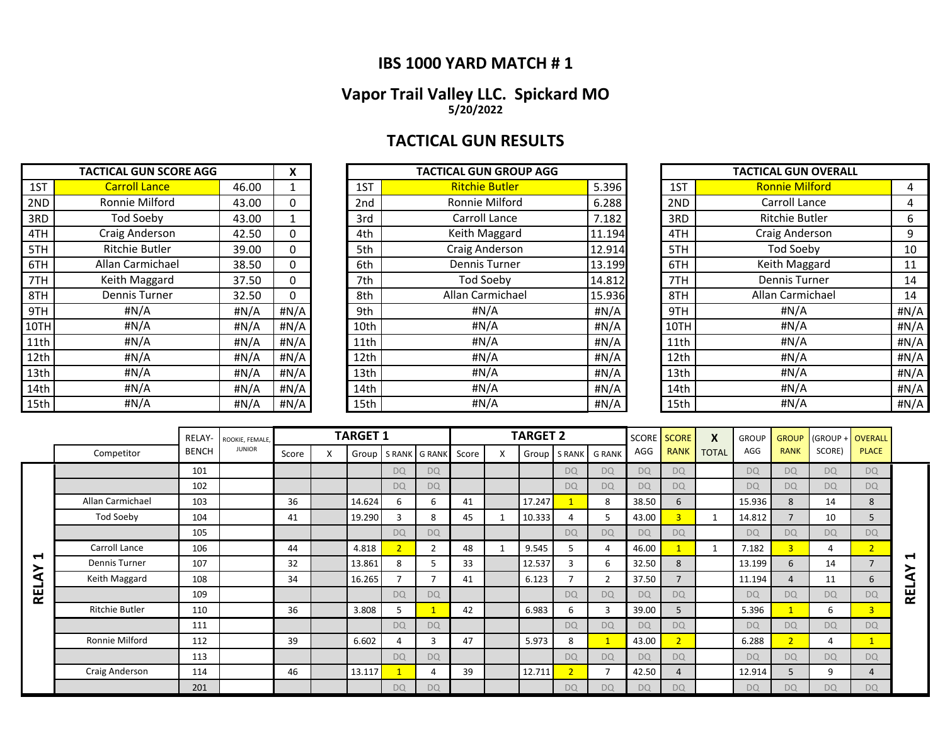## **IBS 1000 YARD MATCH # 1**

### **Vapor Trail Valley LLC. Spickard MO 5/20/2022**

# **TACTICAL GUN RESULTS**

|      | <b>TACTICAL GUN SCORE AGG</b> |         | X            |                 | <b>TACTICAL GUN GROUP AGG</b> |        |      | <b>TACTICAL GUN OVERALL</b> |       |
|------|-------------------------------|---------|--------------|-----------------|-------------------------------|--------|------|-----------------------------|-------|
| 1ST  | <b>Carroll Lance</b>          | 46.00   |              | 1ST             | <b>Ritchie Butler</b>         | 5.396  | 1ST  | <b>Ronnie Milford</b>       | 4     |
| 2ND  | Ronnie Milford                | 43.00   | 0            | 2 <sub>nd</sub> | Ronnie Milford                | 6.288  | 2ND  | Carroll Lance               | 4     |
| 3RD  | Tod Soeby                     | 43.00   |              | 3rd             | Carroll Lance                 | 7.182  | 3RD  | <b>Ritchie Butler</b>       | 6     |
| 4TH  | Craig Anderson                | 42.50   | 0            | 4th             | Keith Maggard                 | 11.194 | 4TH  | Craig Anderson              | 9     |
| 5TH  | Ritchie Butler                | 39.00   | 0            | 5th             | Craig Anderson                | 12.914 | 5TH  | Tod Soeby                   | 10    |
| 6TH  | Allan Carmichael              | 38.50   | 0            | 6th             | Dennis Turner                 | 13.199 | 6TH  | Keith Maggard               | 11    |
| 7TH  | Keith Maggard                 | 37.50   | 0            | 7th             | <b>Tod Soeby</b>              | 14.812 | 7TH  | <b>Dennis Turner</b>        | 14    |
| 8TH  | <b>Dennis Turner</b>          | 32.50   | 0            | 8th             | Allan Carmichael              | 15.936 | 8TH  | Allan Carmichael            | 14    |
| 9TH  | # $N/A$                       | # $N/A$ | $\sharp N/A$ | 9th             | #N/A                          | H N/A  | 9TH  | #N/A                        | H N/A |
| 10TH | # $N/A$                       | #N/A    | #N/A         | 10th            | #N/A                          | H N/A  | 10TH | #N/A                        | #N/A  |
| 11th | # $N/A$                       | #N/A    | #N/A         | 11th            | #N/A                          | H N/A  | 11th | #N/A                        | #N/A  |
| 12th | #N/A                          | #N/A    | #N/A         | 12th            | #N/A                          | #N/A   | 12th | # $N/A$                     | #N/A  |
| 13th | #N/A                          | #N/A    | #N/A         | 13th            | #N/A                          | #N/A   | 13th | H N/A                       | #N/A  |
| 14th | # $N/A$                       | #N/A    | # $N/A$      | 14th            | #N/A                          | #N/A   | 14th | H N/A                       | #N/A  |
| 15th | #N/A                          | #N/A    | #N/A         | 15th            | #N/A                          | H N/A  | 15th | # $N/A$                     | #N/A  |

|      | <b>TACTICAL GUN SCORE AGG</b> |       | X    |                 | <b>TACTICAL GUN GROUP AGG</b> |              |      | <b>TACTICAL GUN OVERALL</b> |      |
|------|-------------------------------|-------|------|-----------------|-------------------------------|--------------|------|-----------------------------|------|
| 1ST  | <b>Carroll Lance</b>          | 46.00 |      | 1ST             | <b>Ritchie Butler</b>         | 5.396        | 1ST  | <b>Ronnie Milford</b>       | 4    |
| 2ND  | Ronnie Milford                | 43.00 | 0    | 2 <sub>nd</sub> | Ronnie Milford                | 6.288        | 2ND  | Carroll Lance               | 4    |
| 3RD  | <b>Tod Soeby</b>              | 43.00 |      | 3rd             | Carroll Lance                 | 7.182        | 3RD  | <b>Ritchie Butler</b>       | 6    |
| 4TH  | Craig Anderson                | 42.50 | 0    | 4th             | Keith Maggard                 | 11.194       | 4TH  | Craig Anderson              | 9    |
| 5TH  | Ritchie Butler                | 39.00 | 0    | 5th             | Craig Anderson                | 12.914       | 5TH  | Tod Soeby                   | 10   |
| 6TH  | Allan Carmichael              | 38.50 | 0    | 6th             | <b>Dennis Turner</b>          | 13.199       | 6TH  | Keith Maggard               | 11   |
| 7TH  | Keith Maggard                 | 37.50 | 0    | 7th             | Tod Soeby                     | 14.812       | 7TH  | Dennis Turner               | 14   |
| 8TH  | <b>Dennis Turner</b>          | 32.50 | 0    | 8th             | Allan Carmichael              | 15.936       | 8TH  | Allan Carmichael            | 14   |
| 9TH  | #N/A                          | #N/A  | #N/A | 9th             | #N/A                          | #N/A         | 9TH  | #N/A                        | #N/A |
| 10TH | #N/A                          | #N/A  | #N/A | 10th            | #N/A                          | $\sharp N/A$ | 10TH | #N/A                        | #N/A |
| 11th | # $N/A$                       | #N/A  | #N/A | 11th            | #N/A                          | #N/A         | 11th | #N/A                        | #N/A |
| 12th | #N/A                          | #N/A  | #N/A | 12th            | #N/A                          | #N/A         | 12th | #N/A                        | #N/A |
| 13th | # $N/A$                       | #N/A  | #N/A | 13th            | #N/A                          | #N/A         | 13th | #N/A                        | #N/A |
| 14th | # $N/A$                       | #N/A  | #N/A | 14th            | #N/A                          | #N/A         | 14th | #N/A                        | #N/A |
| 15th | # $N/A$                       | #N/A  | #N/A | 15th            | #N/A                          | #N/A         | 15th | #N/A                        | #N/A |

|      | <b>TACTICAL GUN OVERALL</b> |      |  |  |  |  |  |  |  |  |  |  |
|------|-----------------------------|------|--|--|--|--|--|--|--|--|--|--|
| 1ST  | <b>Ronnie Milford</b>       | 4    |  |  |  |  |  |  |  |  |  |  |
| 2ND  | <b>Carroll Lance</b>        | 4    |  |  |  |  |  |  |  |  |  |  |
| 3RD  | <b>Ritchie Butler</b>       | 6    |  |  |  |  |  |  |  |  |  |  |
| 4TH  | Craig Anderson              |      |  |  |  |  |  |  |  |  |  |  |
| 5TH  | <b>Tod Soeby</b>            | 10   |  |  |  |  |  |  |  |  |  |  |
| 6TH  | Keith Maggard               | 11   |  |  |  |  |  |  |  |  |  |  |
| 7TH  | Dennis Turner               | 14   |  |  |  |  |  |  |  |  |  |  |
| 8TH  | Allan Carmichael            | 14   |  |  |  |  |  |  |  |  |  |  |
| 9TH  | #N/A                        | #N/A |  |  |  |  |  |  |  |  |  |  |
| 10TH | #N/A                        | #N/A |  |  |  |  |  |  |  |  |  |  |
| 11th | #N/A                        | #N/A |  |  |  |  |  |  |  |  |  |  |
| 12th | #N/A                        | #N/A |  |  |  |  |  |  |  |  |  |  |
| 13th | #N/A                        | #N/A |  |  |  |  |  |  |  |  |  |  |
| 14th | #N/A                        | #N/A |  |  |  |  |  |  |  |  |  |  |
| 15th | #N/A                        | #N/A |  |  |  |  |  |  |  |  |  |  |

|        |                       | RELAY-       | ROOKIE, FEMALE, |       |   | <b>TARGET 1</b> |                |                |       | <b>TARGET 2</b> |           |               |           | <b>SCORE SCORE</b> | X            | <b>GROUP</b> | <b>GROUP</b>   | (GROUP + OVERALL |              |            |
|--------|-----------------------|--------------|-----------------|-------|---|-----------------|----------------|----------------|-------|-----------------|-----------|---------------|-----------|--------------------|--------------|--------------|----------------|------------------|--------------|------------|
|        | Competitor            | <b>BENCH</b> | <b>JUNIOR</b>   | Score | X | Group           | S RANK         | <b>G RANK</b>  | Score | Group           | S RANK    | <b>G RANK</b> | AGG       | <b>RANK</b>        | <b>TOTAL</b> | AGG          | <b>RANK</b>    | SCORE)           | <b>PLACE</b> |            |
|        |                       | 101          |                 |       |   |                 | <b>DQ</b>      | <b>DQ</b>      |       |                 | <b>DQ</b> | <b>DQ</b>     | <b>DQ</b> | <b>DQ</b>          |              | <b>DO</b>    | <b>DQ</b>      | <b>DQ</b>        | <b>DQ</b>    |            |
|        |                       | 102          |                 |       |   |                 | <b>DQ</b>      | <b>DQ</b>      |       |                 | <b>DQ</b> | <b>DQ</b>     | <b>DQ</b> | <b>DO</b>          |              | <b>DO</b>    | <b>DQ</b>      | <b>DQ</b>        | <b>DQ</b>    |            |
|        | Allan Carmichael      | 103          |                 | 36    |   | 14.624          | 6              | 6              | 41    | 17.247          |           | 8             | 38.50     | 6                  |              | 15.936       | 8              | 14               | 8            |            |
|        | Tod Soeby             | 104          |                 | 41    |   | 19.290          | 3              | 8              | 45    | 10.333          |           | 5             | 43.00     | $\vert 3 \vert$    |              | 14.812       | $\overline{ }$ | 10               | 5            |            |
|        |                       | 105          |                 |       |   |                 | <b>DQ</b>      | <b>DQ</b>      |       |                 | <b>DQ</b> | <b>DQ</b>     | <b>DQ</b> | <b>DO</b>          |              | <b>DQ</b>    | <b>DO</b>      | <b>DQ</b>        | <b>DO</b>    |            |
|        | Carroll Lance         | 106          |                 | 44    |   | 4.818           | $\overline{2}$ | $\overline{2}$ | 48    | 9.545           |           | 4             | 46.00     |                    |              | 7.182        | $\overline{3}$ | 4                | 2            |            |
| ↽<br>≻ | Dennis Turner         | 107          |                 | 32    |   | 13.861          | 8              | כ              | 33    | 12.537          | 3         | 6             | 32.50     | 8                  |              | 13.199       | 6              | 14               | 7            | ↤          |
| ⋖      | Keith Maggard         | 108          |                 | 34    |   | 16.265          | $\overline{ }$ |                | 41    | 6.123           | 7         | 2             | 37.50     |                    |              | 11.194       | 4              | 11               | 6            | ਟੇ         |
| ع      |                       | 109          |                 |       |   |                 | DO             | <b>DQ</b>      |       |                 | <b>DQ</b> | <b>DQ</b>     | DO        | D <sub>Q</sub>     |              | <b>DO</b>    | <b>DQ</b>      | <b>DQ</b>        | <b>DQ</b>    | <b>REL</b> |
|        | <b>Ritchie Butler</b> | 110          |                 | 36    |   | 3.808           | 5.             |                | 42    | 6.983           | 6         | 3             | 39.00     | 5                  |              | 5.396        |                | 6                | 3            |            |
|        |                       | 111          |                 |       |   |                 | <b>DQ</b>      | <b>DQ</b>      |       |                 | <b>DQ</b> | <b>DQ</b>     | DO        | <b>DO</b>          |              | <b>DO</b>    | <b>DQ</b>      | <b>DQ</b>        | <b>DQ</b>    |            |
|        | Ronnie Milford        | 112          |                 | 39    |   | 6.602           | 4              | з              | 47    | 5.973           | 8         | $\mathbf{1}$  | 43.00     | $\overline{2}$     |              | 6.288        | $\overline{2}$ | 4                | 1            |            |
|        |                       | 113          |                 |       |   |                 | <b>DQ</b>      | <b>DQ</b>      |       |                 | <b>DQ</b> | <b>DQ</b>     | <b>DQ</b> | <b>DO</b>          |              | <b>DQ</b>    | <b>DQ</b>      | <b>DQ</b>        | <b>DQ</b>    |            |
|        | Craig Anderson        | 114          |                 | 46    |   | 13.117          |                | 4              | 39    | 12.711          | 2         | 7             | 42.50     | 4                  |              | 12.914       | 5              | 9                | 4            |            |
|        |                       | 201          |                 |       |   |                 | <b>DQ</b>      | <b>DQ</b>      |       |                 | <b>DQ</b> | <b>DQ</b>     | <b>DO</b> | <b>DQ</b>          |              | <b>DQ</b>    | <b>DQ</b>      | <b>DQ</b>        | <b>DQ</b>    |            |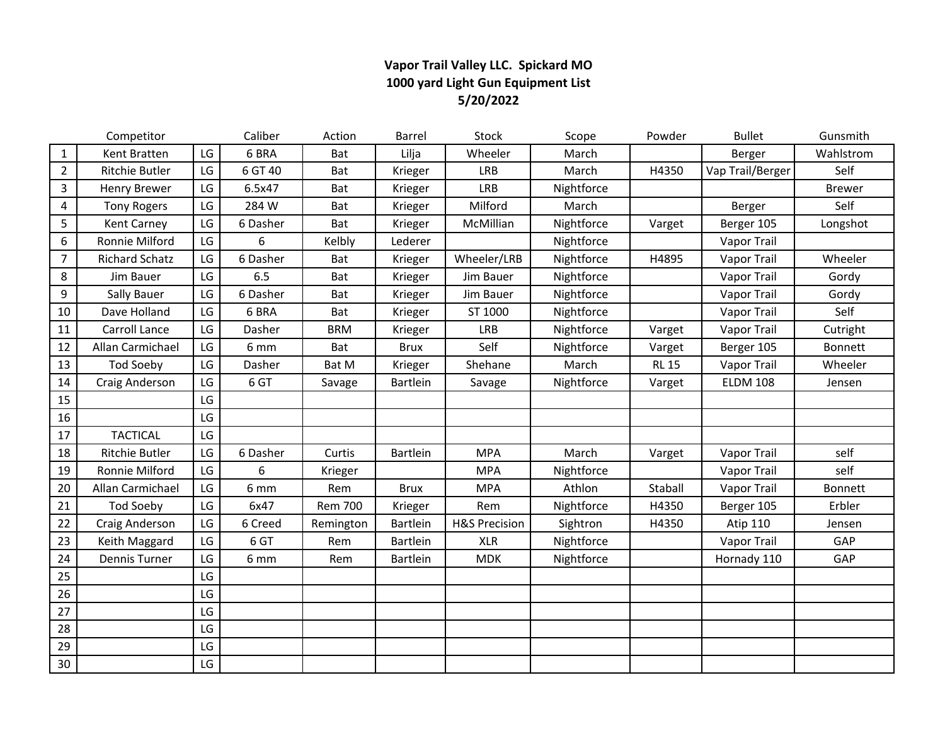## **Vapor Trail Valley LLC. Spickard MO 1000 yard Light Gun Equipment List 5/20/2022**

|                | Competitor            |    | Caliber  | Action         | Barrel      | <b>Stock</b>             | Scope      | Powder       | <b>Bullet</b>      | Gunsmith      |
|----------------|-----------------------|----|----------|----------------|-------------|--------------------------|------------|--------------|--------------------|---------------|
| $\mathbf{1}$   | Kent Bratten          | LG | 6 BRA    | Bat            | Lilja       | Wheeler                  | March      |              | Berger             | Wahlstrom     |
| $\overline{2}$ | Ritchie Butler        | LG | 6 GT 40  | Bat            | Krieger     | <b>LRB</b>               | March      | H4350        | Vap Trail/Berger   | Self          |
| $\overline{3}$ | <b>Henry Brewer</b>   | LG | 6.5x47   | Bat            | Krieger     | LRB                      | Nightforce |              |                    | <b>Brewer</b> |
| 4              | <b>Tony Rogers</b>    | LG | 284 W    | Bat            | Krieger     | Milford                  | March      |              | Berger             | Self          |
| 5              | Kent Carney           | LG | 6 Dasher | Bat            | Krieger     | McMillian                | Nightforce | Varget       | Berger 105         | Longshot      |
| 6              | Ronnie Milford        | LG | 6        | Kelbly         | Lederer     |                          | Nightforce |              | Vapor Trail        |               |
| $\overline{7}$ | <b>Richard Schatz</b> | LG | 6 Dasher | Bat            | Krieger     | Wheeler/LRB              | Nightforce | H4895        | <b>Vapor Trail</b> | Wheeler       |
| $\,8\,$        | Jim Bauer             | LG | 6.5      | Bat            | Krieger     | Jim Bauer                | Nightforce |              | Vapor Trail        | Gordy         |
| 9              | Sally Bauer           | LG | 6 Dasher | Bat            | Krieger     | Jim Bauer                | Nightforce |              | Vapor Trail        | Gordy         |
| 10             | Dave Holland          | LG | 6 BRA    | Bat            | Krieger     | ST 1000                  | Nightforce |              | Vapor Trail        | Self          |
| 11             | Carroll Lance         | LG | Dasher   | <b>BRM</b>     | Krieger     | <b>LRB</b>               | Nightforce | Varget       | Vapor Trail        | Cutright      |
| 12             | Allan Carmichael      | LG | 6 mm     | Bat            | <b>Brux</b> | Self                     | Nightforce | Varget       | Berger 105         | Bonnett       |
| 13             | <b>Tod Soeby</b>      | LG | Dasher   | Bat M          | Krieger     | Shehane                  | March      | <b>RL 15</b> | Vapor Trail        | Wheeler       |
| 14             | Craig Anderson        | LG | 6 GT     | Savage         | Bartlein    | Savage                   | Nightforce | Varget       | <b>ELDM 108</b>    | Jensen        |
| 15             |                       | LG |          |                |             |                          |            |              |                    |               |
| 16             |                       | LG |          |                |             |                          |            |              |                    |               |
| 17             | <b>TACTICAL</b>       | LG |          |                |             |                          |            |              |                    |               |
| 18             | Ritchie Butler        | LG | 6 Dasher | Curtis         | Bartlein    | <b>MPA</b>               | March      | Varget       | Vapor Trail        | self          |
| 19             | Ronnie Milford        | LG | 6        | Krieger        |             | <b>MPA</b>               | Nightforce |              | <b>Vapor Trail</b> | self          |
| 20             | Allan Carmichael      | LG | 6 mm     | Rem            | <b>Brux</b> | <b>MPA</b>               | Athlon     | Staball      | Vapor Trail        | Bonnett       |
| 21             | <b>Tod Soeby</b>      | LG | 6x47     | <b>Rem 700</b> | Krieger     | Rem                      | Nightforce | H4350        | Berger 105         | Erbler        |
| 22             | Craig Anderson        | LG | 6 Creed  | Remington      | Bartlein    | <b>H&amp;S Precision</b> | Sightron   | H4350        | Atip 110           | Jensen        |
| 23             | Keith Maggard         | LG | 6 GT     | Rem            | Bartlein    | <b>XLR</b>               | Nightforce |              | Vapor Trail        | GAP           |
| 24             | Dennis Turner         | LG | 6 mm     | Rem            | Bartlein    | <b>MDK</b>               | Nightforce |              | Hornady 110        | GAP           |
| 25             |                       | LG |          |                |             |                          |            |              |                    |               |
| 26             |                       | LG |          |                |             |                          |            |              |                    |               |
| 27             |                       | LG |          |                |             |                          |            |              |                    |               |
| 28             |                       | LG |          |                |             |                          |            |              |                    |               |
| 29             |                       | LG |          |                |             |                          |            |              |                    |               |
| 30             |                       | LG |          |                |             |                          |            |              |                    |               |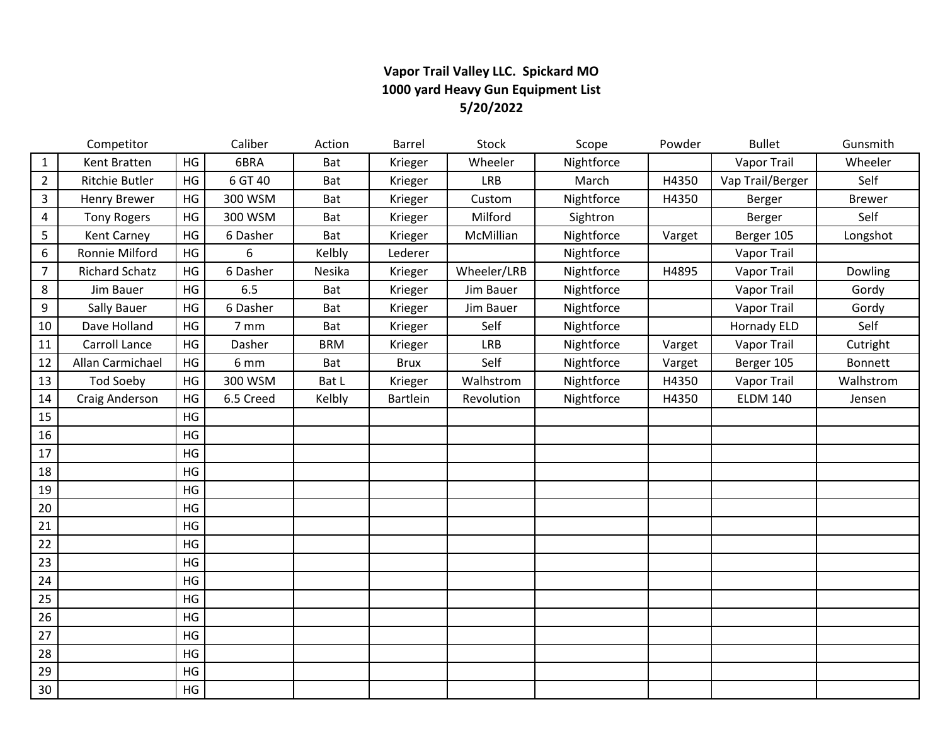## **Vapor Trail Valley LLC. Spickard MO 1000 yard Heavy Gun Equipment List 5/20/2022**

|                | Competitor            |    | Caliber   | Action     | Barrel      | Stock       | Scope      | Powder | <b>Bullet</b>      | Gunsmith      |
|----------------|-----------------------|----|-----------|------------|-------------|-------------|------------|--------|--------------------|---------------|
| $\mathbf{1}$   | Kent Bratten          | HG | 6BRA      | Bat        | Krieger     | Wheeler     | Nightforce |        | <b>Vapor Trail</b> | Wheeler       |
| $\overline{2}$ | Ritchie Butler        | HG | 6 GT 40   | Bat        | Krieger     | <b>LRB</b>  | March      | H4350  | Vap Trail/Berger   | Self          |
| 3              | <b>Henry Brewer</b>   | HG | 300 WSM   | Bat        | Krieger     | Custom      | Nightforce | H4350  | Berger             | <b>Brewer</b> |
| 4              | <b>Tony Rogers</b>    | HG | 300 WSM   | Bat        | Krieger     | Milford     | Sightron   |        | Berger             | Self          |
| 5              | <b>Kent Carney</b>    | HG | 6 Dasher  | Bat        | Krieger     | McMillian   | Nightforce | Varget | Berger 105         | Longshot      |
| 6              | Ronnie Milford        | HG | 6         | Kelbly     | Lederer     |             | Nightforce |        | Vapor Trail        |               |
| $\overline{7}$ | <b>Richard Schatz</b> | HG | 6 Dasher  | Nesika     | Krieger     | Wheeler/LRB | Nightforce | H4895  | Vapor Trail        | Dowling       |
| 8              | Jim Bauer             | HG | 6.5       | Bat        | Krieger     | Jim Bauer   | Nightforce |        | Vapor Trail        | Gordy         |
| 9              | <b>Sally Bauer</b>    | HG | 6 Dasher  | Bat        | Krieger     | Jim Bauer   | Nightforce |        | Vapor Trail        | Gordy         |
| 10             | Dave Holland          | HG | 7 mm      | Bat        | Krieger     | Self        | Nightforce |        | <b>Hornady ELD</b> | Self          |
| 11             | Carroll Lance         | HG | Dasher    | <b>BRM</b> | Krieger     | <b>LRB</b>  | Nightforce | Varget | Vapor Trail        | Cutright      |
| 12             | Allan Carmichael      | HG | 6 mm      | Bat        | <b>Brux</b> | Self        | Nightforce | Varget | Berger 105         | Bonnett       |
| 13             | <b>Tod Soeby</b>      | HG | 300 WSM   | Bat L      | Krieger     | Walhstrom   | Nightforce | H4350  | Vapor Trail        | Walhstrom     |
| 14             | Craig Anderson        | HG | 6.5 Creed | Kelbly     | Bartlein    | Revolution  | Nightforce | H4350  | <b>ELDM 140</b>    | Jensen        |
| 15             |                       | HG |           |            |             |             |            |        |                    |               |
| 16             |                       | HG |           |            |             |             |            |        |                    |               |
| 17             |                       | HG |           |            |             |             |            |        |                    |               |
| 18             |                       | HG |           |            |             |             |            |        |                    |               |
| 19             |                       | HG |           |            |             |             |            |        |                    |               |
| 20             |                       | HG |           |            |             |             |            |        |                    |               |
| 21             |                       | HG |           |            |             |             |            |        |                    |               |
| 22             |                       | HG |           |            |             |             |            |        |                    |               |
| 23             |                       | HG |           |            |             |             |            |        |                    |               |
| 24             |                       | HG |           |            |             |             |            |        |                    |               |
| 25             |                       | HG |           |            |             |             |            |        |                    |               |
| 26             |                       | HG |           |            |             |             |            |        |                    |               |
| 27             |                       | HG |           |            |             |             |            |        |                    |               |
| 28             |                       | HG |           |            |             |             |            |        |                    |               |
| 29             |                       | HG |           |            |             |             |            |        |                    |               |
| 30             |                       | HG |           |            |             |             |            |        |                    |               |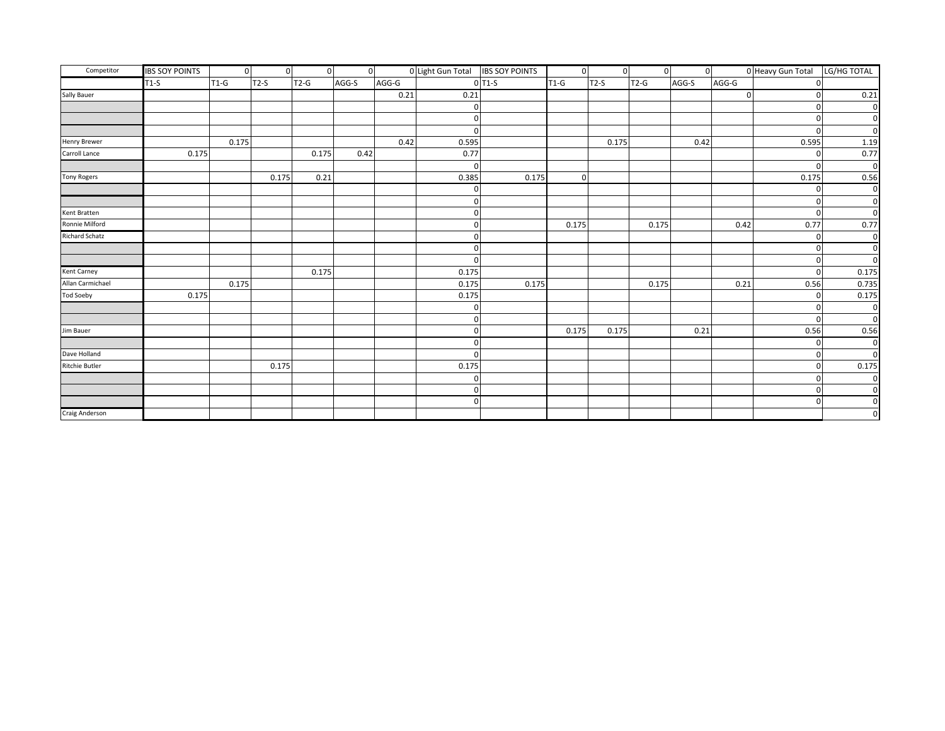| Competitor            | <b>IBS SOY POINTS</b> | $\overline{0}$ | $\mathbf{0}$ | $\overline{0}$ | $\overline{0}$ |       | 0 Light Gun Total IBS SOY POINTS |          | $\overline{0}$ | $\overline{0}$ | $\overline{0}$ | $\overline{0}$ |          | 0 Heavy Gun Total | LG/HG TOTAL |
|-----------------------|-----------------------|----------------|--------------|----------------|----------------|-------|----------------------------------|----------|----------------|----------------|----------------|----------------|----------|-------------------|-------------|
|                       | $T1-S$                | $T1-G$         | $T2-S$       | $T2-G$         | AGG-S          | AGG-G |                                  | $0$ T1-S | $T1-G$         | $T2-S$         | $T2-G$         | AGG-S          | AGG-G    |                   |             |
| Sally Bauer           |                       |                |              |                |                | 0.21  | 0.21                             |          |                |                |                |                | $\Omega$ |                   | 0.21        |
|                       |                       |                |              |                |                |       |                                  |          |                |                |                |                |          |                   |             |
|                       |                       |                |              |                |                |       |                                  |          |                |                |                |                |          |                   |             |
|                       |                       |                |              |                |                |       |                                  |          |                |                |                |                |          | $\Omega$          |             |
| <b>Henry Brewer</b>   |                       | 0.175          |              |                |                | 0.42  | 0.595                            |          |                | 0.175          |                | 0.42           |          | 0.595             | 1.19        |
| Carroll Lance         | 0.175                 |                |              | 0.175          | 0.42           |       | 0.77                             |          |                |                |                |                |          |                   | 0.77        |
|                       |                       |                |              |                |                |       |                                  |          |                |                |                |                |          |                   |             |
| <b>Tony Rogers</b>    |                       |                | 0.175        | 0.21           |                |       | 0.385                            | 0.175    | $\mathbf 0$    |                |                |                |          | 0.175             | 0.56        |
|                       |                       |                |              |                |                |       |                                  |          |                |                |                |                |          |                   | $\Omega$    |
|                       |                       |                |              |                |                |       |                                  |          |                |                |                |                |          |                   |             |
| Kent Bratten          |                       |                |              |                |                |       |                                  |          |                |                |                |                |          |                   |             |
| Ronnie Milford        |                       |                |              |                |                |       |                                  |          | 0.175          |                | 0.175          |                | 0.42     | 0.77              | 0.77        |
| Richard Schatz        |                       |                |              |                |                |       |                                  |          |                |                |                |                |          |                   |             |
|                       |                       |                |              |                |                |       |                                  |          |                |                |                |                |          |                   |             |
|                       |                       |                |              |                |                |       |                                  |          |                |                |                |                |          |                   |             |
| Kent Carney           |                       |                |              | 0.175          |                |       | 0.175                            |          |                |                |                |                |          |                   | 0.175       |
| Allan Carmichael      |                       | 0.175          |              |                |                |       | 0.175                            | 0.175    |                |                | 0.175          |                | 0.21     | 0.56              | 0.735       |
| <b>Tod Soeby</b>      | 0.175                 |                |              |                |                |       | 0.175                            |          |                |                |                |                |          |                   | 0.175       |
|                       |                       |                |              |                |                |       |                                  |          |                |                |                |                |          |                   |             |
|                       |                       |                |              |                |                |       |                                  |          |                |                |                |                |          |                   | $\Omega$    |
| Jim Bauer             |                       |                |              |                |                |       |                                  |          | 0.175          | 0.175          |                | 0.21           |          | 0.56              | 0.56        |
|                       |                       |                |              |                |                |       |                                  |          |                |                |                |                |          |                   | $\Omega$    |
| Dave Holland          |                       |                |              |                |                |       |                                  |          |                |                |                |                |          |                   | $\Omega$    |
| <b>Ritchie Butler</b> |                       |                | 0.175        |                |                |       | 0.175                            |          |                |                |                |                |          |                   | 0.175       |
|                       |                       |                |              |                |                |       |                                  |          |                |                |                |                |          |                   |             |
|                       |                       |                |              |                |                |       | O                                |          |                |                |                |                |          |                   |             |
|                       |                       |                |              |                |                |       | $\Omega$                         |          |                |                |                |                |          | $\Omega$          |             |
| Craig Anderson        |                       |                |              |                |                |       |                                  |          |                |                |                |                |          |                   |             |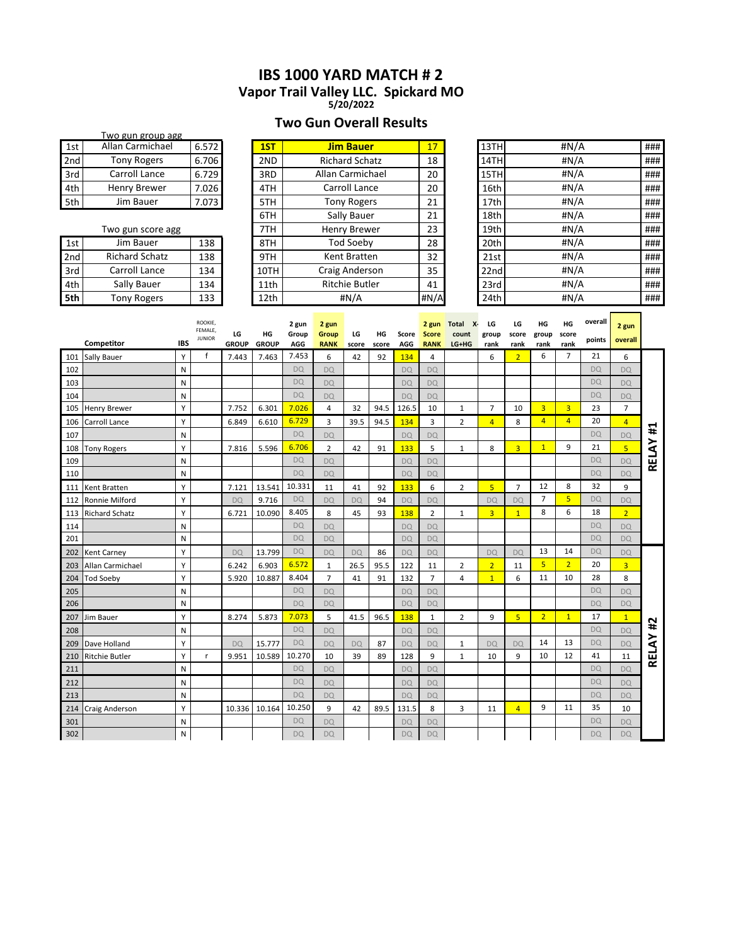## **IBS 1000 YARD MATCH # 2 Vapor Trail Valley LLC. Spickard MO**

**5/20/2022**

## **Two Gun Overall Results**

|     | Two gun group agg   |       |
|-----|---------------------|-------|
| 1st | Allan Carmichael    | 6.572 |
| 2nd | <b>Tony Rogers</b>  | 6.706 |
| 3rd | Carroll Lance       | 6.729 |
| 4th | <b>Henry Brewer</b> | 7.026 |
| 5th | Jim Bauer           | 7.073 |

|                 | Two gun score agg     |     |
|-----------------|-----------------------|-----|
| 1st             | Jim Bauer             | 138 |
| 2 <sub>nd</sub> | <b>Richard Schatz</b> | 138 |
| 3rd             | Carroll Lance         | 134 |
| 4th             | Sally Bauer           | 134 |
|                 | <b>Tony Rogers</b>    | 133 |

| 15 L | Alidii Cariilichdei   | 0.J/ZI | IЭI  | Jih bauer             | IJ   | 13 I FI | HIV/A | ### |
|------|-----------------------|--------|------|-----------------------|------|---------|-------|-----|
| 2nd  | <b>Tony Rogers</b>    | 6.706  | 2ND  | <b>Richard Schatz</b> | 18   | 14TH    | #N/A  | ### |
| 3rd  | Carroll Lance         | 6.729  | 3RD  | Allan Carmichael      | 20   | 15TH    | #N/A  | ### |
| 4th  | Henry Brewer          | 7.026  | 4TH  | Carroll Lance         | 20   | 16th    | #N/A  | ### |
| 5th  | Jim Bauer             | 7.073  | 5TH  | <b>Tony Rogers</b>    | 21   | 17th    | #N/A  | ### |
|      |                       |        | 6TH  | Sally Bauer           | 21   | 18th    | #N/A  | ### |
|      | Two gun score agg     |        | 7TH  | Henry Brewer          | 23   | 19th    | #N/A  | ### |
| 1st  | Jim Bauer             | 138    | 8TH  | Tod Soeby             | 28   | 20th    | #N/A  | ### |
| 2nd  | <b>Richard Schatz</b> | 138    | 9TH  | Kent Bratten          | 32   | 21st    | #N/A  | ### |
| 3rd  | Carroll Lance         | 134    | 10TH | Craig Anderson        | 35   | 22nd    | #N/A  | ### |
| 4th  | Sally Bauer           | 134    | 11th | <b>Ritchie Butler</b> | 41   | 23rd    | #N/A  | ### |
| 5th  | <b>Tony Rogers</b>    | 133    | 12th | #N/A                  | #N/A | 24th    | #N/A  | ### |
|      |                       |        |      |                       |      |         |       |     |

| 1st  | Allan Carmichael      | 6.572 | 1ST  | <b>Jim Bauer</b>      | 17   | 13TH | #N/A | ### |
|------|-----------------------|-------|------|-----------------------|------|------|------|-----|
| 2ndl | <b>Tony Rogers</b>    | 6.706 | 2ND  | <b>Richard Schatz</b> | 18   | 14TH | #N/A | ### |
| 3rd  | Carroll Lance         | 6.729 | 3RD  | Allan Carmichael      | 20   | 15TH | #N/A | ### |
| 4th  | <b>Henry Brewer</b>   | 7.026 | 4TH  | Carroll Lance         | 20   | 16th | #N/A | ### |
| 5th  | Jim Bauer             | 7.073 | 5TH  | <b>Tony Rogers</b>    | 21   | 17th | #N/A | ### |
|      |                       |       | 6TH  | Sally Bauer           | 21   | 18th | #N/A | ### |
|      | Two gun score agg     |       | 7TH  | <b>Henry Brewer</b>   | 23   | 19th | #N/A | ### |
| 1st  | Jim Bauer             | 138   | 8TH  | Tod Soeby             | 28   | 20th | #N/A | ### |
| 2nd  | <b>Richard Schatz</b> | 138   | 9TH  | Kent Bratten          | 32   | 21st | #N/A | ### |
| 3rd  | Carroll Lance         | 134   | 10TH | Craig Anderson        | 35   | 22nd | #N/A | ### |
| 4th  | Sally Bauer           | 134   | 11th | <b>Ritchie Butler</b> | 41   | 23rd | #N/A | ### |
| 5th  | <b>Tony Rogers</b>    | 133   | 12th | #N/A                  | #N/A | 24th | #N/A | ### |

|     | Competitor            | <b>IBS</b> | ROOKIE,<br>FEMALE,<br><b>JUNIOR</b> | LG<br><b>GROUP</b> | HG<br><b>GROUP</b> | 2 gun<br>Group<br>AGG | 2 gun<br>Group<br><b>RANK</b> | LG<br>score | HG<br>score | Score<br>AGG | 2 gun<br><b>Score</b><br><b>RANK</b> | Total<br>$X -$<br>count<br>LG+HG | LG<br>group<br>rank | LG<br>score<br>rank | HG<br>group<br>rank | HG<br>score<br>rank | overall<br>points | 2 gun<br>overall |       |
|-----|-----------------------|------------|-------------------------------------|--------------------|--------------------|-----------------------|-------------------------------|-------------|-------------|--------------|--------------------------------------|----------------------------------|---------------------|---------------------|---------------------|---------------------|-------------------|------------------|-------|
| 101 | Sally Bauer           | Y          | $\mathsf{f}$                        | 7.443              | 7.463              | 7.453                 | 6                             | 42          | 92          | 134          | 4                                    |                                  | 6                   | $\overline{2}$      | 6                   | $\overline{7}$      | 21                | 6                |       |
| 102 |                       | N          |                                     |                    |                    | <b>DQ</b>             | <b>DQ</b>                     |             |             | <b>DQ</b>    | <b>DQ</b>                            |                                  |                     |                     |                     |                     | <b>DQ</b>         | <b>DQ</b>        |       |
| 103 |                       | N          |                                     |                    |                    | <b>DQ</b>             | <b>DQ</b>                     |             |             | <b>DQ</b>    | <b>DQ</b>                            |                                  |                     |                     |                     |                     | <b>DQ</b>         | <b>DQ</b>        |       |
| 104 |                       | N          |                                     |                    |                    | <b>DQ</b>             | <b>DQ</b>                     |             |             | <b>DQ</b>    | <b>DQ</b>                            |                                  |                     |                     |                     |                     | <b>DQ</b>         | <b>DQ</b>        |       |
| 105 | <b>Henry Brewer</b>   | Y          |                                     | 7.752              | 6.301              | 7.026                 | 4                             | 32          | 94.5        | 126.5        | 10                                   | 1                                | 7                   | 10                  | $\overline{3}$      | $\overline{3}$      | 23                | $\overline{7}$   |       |
| 106 | Carroll Lance         | Y          |                                     | 6.849              | 6.610              | 6.729                 | 3                             | 39.5        | 94.5        | 134          | 3                                    | 2                                | $\overline{4}$      | 8                   | $\overline{4}$      | $\overline{4}$      | 20                | $\overline{4}$   | #1    |
| 107 |                       | N          |                                     |                    |                    | <b>DQ</b>             | DO                            |             |             | DO.          | DO.                                  |                                  |                     |                     |                     |                     | <b>DQ</b>         | <b>DQ</b>        |       |
| 108 | <b>Tony Rogers</b>    | Y          |                                     | 7.816              | 5.596              | 6.706                 | $\overline{2}$                | 42          | 91          | 133          | 5                                    | 1                                | 8                   | $\overline{3}$      | $\mathbf{1}$        | 9                   | 21                | 5 <sup>1</sup>   | RELAY |
| 109 |                       | N          |                                     |                    |                    | <b>DQ</b>             | <b>DQ</b>                     |             |             | <b>DQ</b>    | <b>DQ</b>                            |                                  |                     |                     |                     |                     | <b>DQ</b>         | <b>DQ</b>        |       |
| 110 |                       | N          |                                     |                    |                    | <b>DQ</b>             | <b>DQ</b>                     |             |             | <b>DQ</b>    | <b>DQ</b>                            |                                  |                     |                     |                     |                     | <b>DQ</b>         | <b>DQ</b>        |       |
| 111 | Kent Bratten          | Υ          |                                     | 7.121              | 13.541             | 10.331                | 11                            | 41          | 92          | 133          | 6                                    | 2                                | 5                   | $\overline{7}$      | 12                  | 8                   | 32                | 9                |       |
| 112 | Ronnie Milford        | Y          |                                     | DO                 | 9.716              | DQ                    | <b>DQ</b>                     | <b>DQ</b>   | 94          | <b>DQ</b>    | <b>DQ</b>                            |                                  | <b>DQ</b>           | <b>DQ</b>           | $\overline{7}$      | 5                   | <b>DQ</b>         | <b>DQ</b>        |       |
| 113 | <b>Richard Schatz</b> | Y          |                                     | 6.721              | 10.090             | 8.405                 | 8                             | 45          | 93          | 138          | $\overline{2}$                       | $\mathbf{1}$                     | $\overline{3}$      | $\overline{1}$      | 8                   | 6                   | 18                | $\overline{2}$   |       |
| 114 |                       | N          |                                     |                    |                    | <b>DQ</b>             | <b>DQ</b>                     |             |             | <b>DQ</b>    | <b>DQ</b>                            |                                  |                     |                     |                     |                     | <b>DQ</b>         | <b>DQ</b>        |       |
| 201 |                       | N          |                                     |                    |                    | <b>DQ</b>             | <b>DQ</b>                     |             |             | DO.          | <b>DQ</b>                            |                                  |                     |                     |                     |                     | <b>DQ</b>         | DO.              |       |
| 202 | Kent Carney           | Y          |                                     | <b>DQ</b>          | 13.799             | <b>DQ</b>             | <b>DQ</b>                     | <b>DQ</b>   | 86          | <b>DQ</b>    | <b>DQ</b>                            |                                  | <b>DQ</b>           | <b>DQ</b>           | 13                  | 14                  | <b>DQ</b>         | <b>DQ</b>        |       |
| 203 | Allan Carmichael      | Y          |                                     | 6.242              | 6.903              | 6.572                 | 1                             | 26.5        | 95.5        | 122          | 11                                   | 2                                | $\overline{2}$      | 11                  | 5                   | $\overline{2}$      | 20                | $\overline{3}$   |       |
| 204 | <b>Tod Soeby</b>      | Υ          |                                     | 5.920              | 10.887             | 8.404                 | 7                             | 41          | 91          | 132          | $\overline{7}$                       | 4                                | $\mathbf{1}$        | 6                   | 11                  | 10                  | 28                | 8                |       |
| 205 |                       | N          |                                     |                    |                    | DQ                    | <b>DQ</b>                     |             |             | <b>DQ</b>    | <b>DQ</b>                            |                                  |                     |                     |                     |                     | <b>DQ</b>         | <b>DQ</b>        |       |
| 206 |                       | N          |                                     |                    |                    | DO.                   | <b>DQ</b>                     |             |             | <b>DQ</b>    | <b>DQ</b>                            |                                  |                     |                     |                     |                     | DO.               | <b>DQ</b>        |       |
| 207 | Jim Bauer             | Y          |                                     | 8.274              | 5.873              | 7.073                 | 5                             | 41.5        | 96.5        | 138          | $\mathbf{1}$                         | 2                                | 9                   | 5                   | $\overline{2}$      | $\mathbf{1}$        | 17                | $\mathbf{1}$     | #2    |
| 208 |                       | N          |                                     |                    |                    | <b>DQ</b>             | <b>DQ</b>                     |             |             | <b>DQ</b>    | <b>DQ</b>                            |                                  |                     |                     |                     |                     | <b>DQ</b>         | <b>DQ</b>        |       |
| 209 | Dave Holland          | Y          |                                     | DO                 | 15.777             | <b>DQ</b>             | <b>DQ</b>                     | <b>DQ</b>   | 87          | <b>DQ</b>    | <b>DQ</b>                            | $\mathbf{1}$                     | DO                  | <b>DQ</b>           | 14                  | 13                  | <b>DQ</b>         | <b>DQ</b>        |       |
| 210 | <b>Ritchie Butler</b> | Υ          | $\mathsf{r}$                        | 9.951              | 10.589             | 10.270                | 10                            | 39          | 89          | 128          | 9                                    | $\mathbf{1}$                     | 10                  | 9                   | 10                  | 12                  | 41                | 11               | RELAY |
| 211 |                       | N          |                                     |                    |                    | <b>DQ</b>             | <b>DQ</b>                     |             |             | DO.          | <b>DQ</b>                            |                                  |                     |                     |                     |                     | <b>DQ</b>         | <b>DQ</b>        |       |
| 212 |                       | N          |                                     |                    |                    | <b>DQ</b>             | <b>DQ</b>                     |             |             | <b>DQ</b>    | <b>DQ</b>                            |                                  |                     |                     |                     |                     | <b>DQ</b>         | <b>DQ</b>        |       |
| 213 |                       | N          |                                     |                    |                    | <b>DQ</b>             | DO.                           |             |             | DO.          | DO.                                  |                                  |                     |                     |                     |                     | <b>DQ</b>         | DO.              |       |
| 214 | Craig Anderson        | Y          |                                     | 10.336 10.164      |                    | 10.250                | 9                             | 42          | 89.5        | 131.5        | 8                                    | 3                                | 11                  | 4                   | 9                   | 11                  | 35                | 10               |       |
| 301 |                       | N          |                                     |                    |                    | <b>DQ</b>             | <b>DQ</b>                     |             |             | <b>DQ</b>    | <b>DQ</b>                            |                                  |                     |                     |                     |                     | <b>DQ</b>         | <b>DQ</b>        |       |
| 302 |                       | ${\sf N}$  |                                     |                    |                    | <b>DQ</b>             | <b>DQ</b>                     |             |             | <b>DQ</b>    | <b>DQ</b>                            |                                  |                     |                     |                     |                     | <b>DQ</b>         | <b>DQ</b>        |       |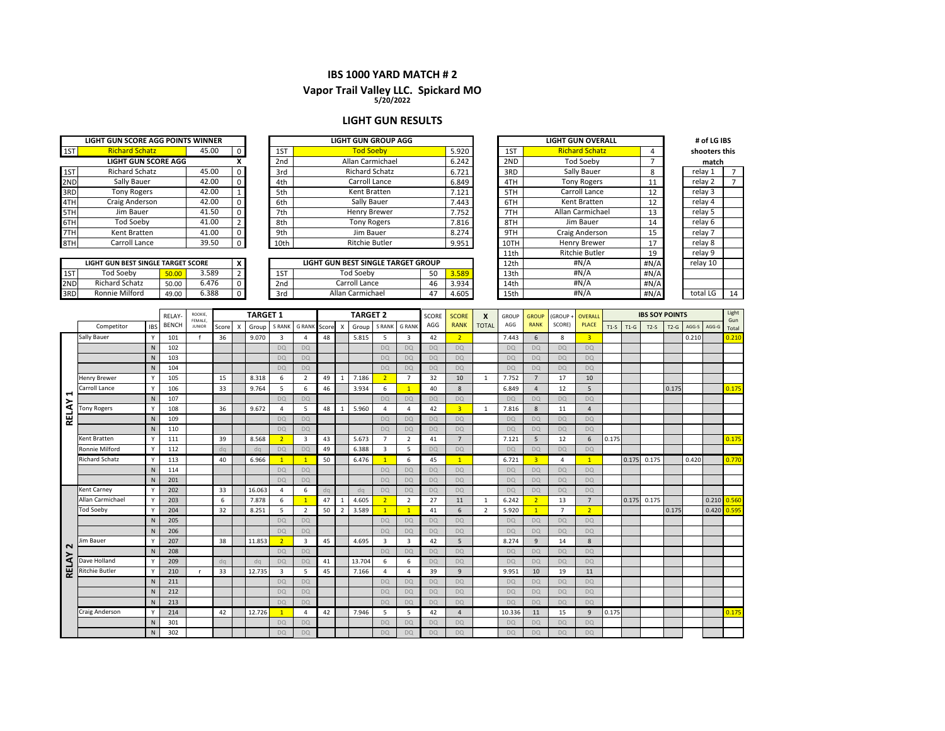#### **IBS 1000 YARD MATCH # 2**

# **5/20/2022 Vapor Trail Valley LLC. Spickard MO**

#### **LIGHT GUN RESULTS**

|     | LIGHT GUN SCORE AGG POINTS WINNER  |       |       |              |                            |                     | <b>LIGHT GUN GROUP AGG</b>         |       |       |      | <b>LIGHT GUN OVERALL</b> |         | # of LG IBS   |
|-----|------------------------------------|-------|-------|--------------|----------------------------|---------------------|------------------------------------|-------|-------|------|--------------------------|---------|---------------|
| 1ST | <b>Richard Schatz</b>              |       | 45.00 | $\Omega$     |                            | 1ST                 | <b>Tod Soeby</b>                   |       | 5.920 | 1ST  | <b>Richard Schatz</b>    |         | shooters this |
|     | <b>LIGHT GUN SCORE AGG</b>         |       |       |              |                            | 2 <sub>nd</sub>     | Allan Carmichael                   |       | 6.242 | 2ND  | <b>Tod Soebv</b>         |         | match         |
| 1ST | <b>Richard Schatz</b>              |       | 45.00 | $\Omega$     |                            | 3rd                 | <b>Richard Schatz</b>              |       | 6.721 | 3RD  | Sally Bauer              | 8       | relay 1       |
| 2ND | Sally Bauer                        |       | 42.00 |              |                            | 4th                 | Carroll Lance                      |       | 6.849 | 4TH  | <b>Tony Rogers</b>       | 11      | relay 2       |
| 3RD | <b>Tony Rogers</b>                 |       | 42.00 |              |                            | Kent Bratten<br>5th |                                    |       |       | 5TH  | Carroll Lance            | 12      | relay 3       |
| 4TH | Craig Anderson                     |       | 42.00 | O.           |                            | 6th                 | Sally Bauer                        |       | 7.443 | 6TH  | Kent Bratten             | 12      | relay 4       |
| 5TH | Jim Bauer                          |       | 41.50 | 0            |                            | 7th                 | <b>Henry Brewer</b>                |       | 7.752 | 7TH  | Allan Carmichael         | 13      | relay 5       |
| 6TH | Tod Soebv                          |       | 41.00 |              |                            | 8th                 | <b>Tony Rogers</b>                 |       | 7.816 | 8TH  | Jim Bauer                | 14      | relay 6       |
| 7TH | Kent Bratten                       |       | 41.00 |              |                            | 9th                 | Jim Bauer                          |       | 8.274 | 9TH  | Craig Anderson           | 15      | relay 7       |
| 8TH | Carroll Lance                      |       | 39.50 |              |                            | 10th                | <b>Ritchie Butler</b>              |       | 9.951 | 10TH | Henry Brewer             | 17      | relay 8       |
|     |                                    |       |       |              |                            |                     |                                    |       |       | 11th | <b>Ritchie Butler</b>    | 19      | relay 9       |
|     | LIGHT GUN BEST SINGLE TARGET SCORE |       |       | $\mathsf{x}$ |                            |                     | LIGHT GUN BEST SINGLE TARGET GROUP |       |       | 12th | #N/A                     | # $N/A$ | relay 10      |
| 1ST | <b>Tod Soebv</b>                   | 50.00 | 3.589 |              |                            | 1ST                 | <b>Tod Soebv</b><br>50             |       | 3.589 | 13th | #N/A                     | #N/A    |               |
| 2ND | <b>Richard Schatz</b>              | 50.00 | 6.476 |              | Carroll Lance<br>2nd<br>46 |                     |                                    | 3.934 | 14th  | #N/A | #N/A                     |         |               |

3RD Ronnie Milford | 49.00 | 6.388 | 0 | 3rd | Allan Carmichael | 47 | 4.605 | 15th | #N/A | #N/A | total LG | 14

Allan Carmichael

Ronnie Milford

6.388

total LG

#N/A

|              |                       |              | RELAY        | ROOKIE.                  |       |                           | <b>TARGET 1</b> |                |                |       |                           | <b>TARGET 2</b> |                         |                | SCORE     | <b>SCORE</b>   | $\boldsymbol{\mathsf{x}}$ | GROUP     | <b>GROUF</b>   | (GROUP+        | <b>OVERALI</b>  |        |        | <b>IBS SOY POINTS</b> |        |       |                 | Light        |
|--------------|-----------------------|--------------|--------------|--------------------------|-------|---------------------------|-----------------|----------------|----------------|-------|---------------------------|-----------------|-------------------------|----------------|-----------|----------------|---------------------------|-----------|----------------|----------------|-----------------|--------|--------|-----------------------|--------|-------|-----------------|--------------|
|              | Competitor            | <b>IBS</b>   | <b>BENCH</b> | FEMALE.<br><b>JUNIOR</b> | Score | $\boldsymbol{\mathsf{x}}$ | Group           | S RANK         | <b>G RANK</b>  | Score | $\boldsymbol{\mathsf{x}}$ | Group           | <b>S RANK</b>           | <b>G RANK</b>  | AGG       | <b>RANK</b>    | <b>TOTAL</b>              | AGG       | <b>RANK</b>    | SCORE)         | <b>PLACE</b>    | $T1-S$ | $T1-G$ | $T2-S$                | $T2-G$ | AGG-S | AGG-G           | Gun<br>Total |
|              | Sally Bauer           |              | 101          |                          | 36    |                           | 9.070           | 3              | Δ              | 48    |                           | 5.815           | 5                       | $\overline{3}$ | 42        | $\overline{2}$ |                           | 7.443     | 6              | 8              | $\overline{3}$  |        |        |                       |        | 0.210 |                 | 0.210        |
|              |                       | ${\sf N}$    | 102          |                          |       |                           |                 | <b>DQ</b>      | <b>DQ</b>      |       |                           |                 | <b>DO</b>               | <b>DQ</b>      | <b>DO</b> | <b>DQ</b>      |                           | <b>DQ</b> | <b>DQ</b>      | <b>DQ</b>      | DQ              |        |        |                       |        |       |                 |              |
|              |                       | $\mathsf{N}$ | 103          |                          |       |                           |                 | <b>DQ</b>      | DQ             |       |                           |                 | <b>DQ</b>               | <b>DQ</b>      | <b>DO</b> | <b>DO</b>      |                           | <b>DQ</b> | <b>DQ</b>      | <b>DQ</b>      | <b>DQ</b>       |        |        |                       |        |       |                 |              |
|              |                       | N            | 104          |                          |       |                           |                 | <b>DQ</b>      | DO             |       |                           |                 | <b>DO</b>               | <b>DQ</b>      | <b>DQ</b> | <b>DQ</b>      |                           | <b>DQ</b> | <b>DQ</b>      | <b>DQ</b>      | DQ              |        |        |                       |        |       |                 |              |
|              | <b>Henry Brewer</b>   | Y            | 105          |                          | 15    |                           | 8.318           | 6              | $\overline{2}$ | 49    | 1                         | 7.186           | $\overline{2}$          | $\overline{7}$ | 32        | 10             | $\overline{1}$            | 7.752     | $\overline{7}$ | 17             | 10              |        |        |                       |        |       |                 |              |
|              | Carroll Lance         |              | 106          |                          | 33    |                           | 9.764           | 5              | 6              | 46    |                           | 3.934           | 6                       | $\mathbf{1}$   | 40        | 8              |                           | 6.849     | $\overline{4}$ | 12             | 5               |        |        |                       | 0.175  |       |                 | 0.175        |
| ⊣            |                       | $\mathsf{N}$ | 107          |                          |       |                           |                 | <b>DQ</b>      | <b>DQ</b>      |       |                           |                 | <b>DQ</b>               | <b>DQ</b>      | <b>DQ</b> | <b>DQ</b>      |                           | <b>DQ</b> | <b>DO</b>      | DO             | <b>DQ</b>       |        |        |                       |        |       |                 |              |
| <b>RELAY</b> | <b>Tony Rogers</b>    | Y            | 108          |                          | 36    |                           | 9.672           | $\overline{4}$ | 5              | 48    | $\mathbf{1}$              | 5.960           | $\overline{4}$          | $\overline{4}$ | 42        | $\overline{3}$ | 1                         | 7.816     | 8              | 11             | $\overline{4}$  |        |        |                       |        |       |                 |              |
|              |                       | ${\sf N}$    | 109          |                          |       |                           |                 | <b>DQ</b>      | <b>DO</b>      |       |                           |                 | <b>DQ</b>               | <b>DQ</b>      | <b>DO</b> | <b>DQ</b>      |                           | <b>DQ</b> | <b>DQ</b>      | DO             | DQ              |        |        |                       |        |       |                 |              |
|              |                       | $\mathsf{N}$ | 110          |                          |       |                           |                 | <b>DQ</b>      | DO             |       |                           |                 | <b>DQ</b>               | <b>DQ</b>      | <b>DO</b> | <b>DQ</b>      |                           | <b>DQ</b> | <b>DQ</b>      | <b>DQ</b>      | <b>DQ</b>       |        |        |                       |        |       |                 |              |
|              | Kent Bratten          | Y            | 111          |                          | 39    |                           | 8.568           | 2 <sup>1</sup> | 3              | 43    |                           | 5.673           | $\overline{7}$          | $\overline{2}$ | 41        | $\overline{7}$ |                           | 7.121     | 5              | 12             | 6               | 0.175  |        |                       |        |       |                 | 0.175        |
|              | Ronnie Milford        | Y            | 112          |                          | dq    |                           | dq              | <b>DO</b>      | DQ             | 49    |                           | 6.388           | $\overline{\mathbf{3}}$ | 5              | <b>DO</b> | <b>DQ</b>      |                           | <b>DQ</b> | <b>DO</b>      | <b>DQ</b>      | <b>DQ</b>       |        |        |                       |        |       |                 |              |
|              | <b>Richard Schatz</b> |              | 113          |                          | 40    |                           | 6.966           | $\mathbf{1}$   | $\mathbf{1}$   | 50    |                           | 6.476           | $\mathbf{1}$            | 6              | 45        | $\overline{1}$ |                           | 6.721     | 3 <sup>7</sup> | $\overline{a}$ | $\mathbf{1}$    |        | 0.175  | 0.175                 |        | 0.420 |                 | 0.770        |
|              |                       | $\mathsf{N}$ | 114          |                          |       |                           |                 | <b>DQ</b>      | <b>DO</b>      |       |                           |                 | <b>DO</b>               | <b>DQ</b>      | <b>DQ</b> | <b>DO</b>      |                           | <b>DQ</b> | <b>DO</b>      | <b>DQ</b>      | <b>DO</b>       |        |        |                       |        |       |                 |              |
|              |                       | $\mathsf{N}$ | 201          |                          |       |                           |                 | <b>DQ</b>      | DO.            |       |                           |                 | <b>DQ</b>               | <b>DQ</b>      | <b>DQ</b> | <b>DO</b>      |                           | <b>DQ</b> | <b>DO</b>      | <b>DQ</b>      | <b>DQ</b>       |        |        |                       |        |       |                 |              |
|              | <b>Kent Carney</b>    |              | 202          |                          | 33    |                           | 16.063          | $\overline{4}$ | 6              | dq    |                           | dq              | <b>DQ</b>               | DQ             | DQ        | <b>DQ</b>      |                           | <b>DQ</b> | DQ             | DQ             | DQ              |        |        |                       |        |       |                 |              |
|              | Allan Carmichael      | Y            | 203          |                          | 6     |                           | 7.878           | 6              | $\overline{1}$ | 47    | 1                         | 4.605           | $\overline{2}$          | $\overline{2}$ | 27        | 11             | 1                         | 6.242     | 2 <sup>2</sup> | 13             | $7\overline{ }$ |        | 0.175  | 0.175                 |        |       | $0.210$ $0.560$ |              |
|              | <b>Tod Soebv</b>      | $\mathsf{v}$ | 204          |                          | 32    |                           | 8.251           | 5              | $\overline{2}$ | 50    | $\overline{2}$            | 3.589           | $\blacksquare$          | $\mathbf{1}$   | 41        | 6              | $\overline{2}$            | 5.920     | 1              | $\overline{7}$ | $\overline{2}$  |        |        |                       | 0.175  |       | 0.420           | 0.595        |
|              |                       | $\mathsf{N}$ | 205          |                          |       |                           |                 | <b>DQ</b>      | DQ             |       |                           |                 | <b>DQ</b>               | <b>DQ</b>      | <b>DO</b> | <b>DO</b>      |                           | <b>DQ</b> | <b>DO</b>      | DQ             | <b>DQ</b>       |        |        |                       |        |       |                 |              |
|              |                       | N            | 206          |                          |       |                           |                 | DQ             | DQ             |       |                           |                 | DQ                      | <b>DQ</b>      | DQ        | DQ             |                           | <b>DQ</b> | <b>DQ</b>      | DQ             | <b>DQ</b>       |        |        |                       |        |       |                 |              |
| $\sim$       | Jim Bauer             | Y            | 207          |                          | 38    |                           | 11.853          | 2 <sup>7</sup> | 3              | 45    |                           | 4.695           | $\overline{3}$          | $\overline{3}$ | 42        | 5              |                           | 8.274     | $\overline{9}$ | 14             | 8               |        |        |                       |        |       |                 |              |
|              |                       | $\mathsf{N}$ | 208          |                          |       |                           |                 | <b>DQ</b>      | DQ             |       |                           |                 | D <sub>O</sub>          | <b>DQ</b>      | DO.       | <b>DO</b>      |                           | <b>DQ</b> | <b>DO</b>      | <b>DO</b>      | DQ              |        |        |                       |        |       |                 |              |
| RELAY        | Dave Holland          |              | 209          |                          | da    |                           | dq              | DQ             | DQ             | 41    |                           | 13.704          | 6                       | 6              | <b>DO</b> | <b>DO</b>      |                           | <b>DQ</b> | <b>DO</b>      | DQ             | <b>DQ</b>       |        |        |                       |        |       |                 |              |
|              | <b>Ritchie Butler</b> |              | 210          | $\mathbf{r}$             | 33    |                           | 12.735          | 3              | 5              | 45    |                           | 7.166           | $\overline{4}$          | $\overline{4}$ | 39        | 9              |                           | 9.951     | 10             | 19             | 11              |        |        |                       |        |       |                 |              |
|              |                       | $\mathsf{N}$ | 211          |                          |       |                           |                 | <b>DQ</b>      | <b>DO</b>      |       |                           |                 | <b>DO</b>               | <b>DQ</b>      | <b>DQ</b> | DO             |                           | <b>DQ</b> | <b>DO</b>      | DQ             | <b>DO</b>       |        |        |                       |        |       |                 |              |
|              |                       | $\mathsf{N}$ | 212          |                          |       |                           |                 | <b>DQ</b>      | <b>DQ</b>      |       |                           |                 | <b>DO</b>               | <b>DQ</b>      | <b>DO</b> | <b>DQ</b>      |                           | <b>DQ</b> | <b>DO</b>      | <b>DQ</b>      | <b>DQ</b>       |        |        |                       |        |       |                 |              |
|              |                       | N            | 213          |                          |       |                           |                 | DQ             | DQ             |       |                           |                 | DQ                      | <b>DQ</b>      | DQ        | D <sub>Q</sub> |                           | <b>DQ</b> | <b>DQ</b>      | DQ             | <b>DQ</b>       |        |        |                       |        |       |                 |              |
|              | <b>Craig Anderson</b> |              | 214          |                          | 42    |                           | 12.726          | $\mathbf{1}$   | 4              | 42    |                           | 7.946           | 5                       | 5              | 42        | $\overline{4}$ |                           | 10.336    | 11             | 15             | 9               | 0.175  |        |                       |        |       |                 | 0.175        |
|              |                       | $\mathsf{N}$ | 301          |                          |       |                           |                 | <b>DQ</b>      | <b>DO</b>      |       |                           |                 | <b>DO</b>               | <b>DQ</b>      | <b>DQ</b> | <b>DQ</b>      |                           | <b>DQ</b> | <b>DQ</b>      | <b>DQ</b>      | DQ              |        |        |                       |        |       |                 |              |
|              |                       | $\mathsf{N}$ | 302          |                          |       |                           |                 | <b>DO</b>      | <b>DO</b>      |       |                           |                 | <b>DQ</b>               | <b>DQ</b>      | <b>DQ</b> | <b>DO</b>      |                           | <b>DO</b> | <b>DO</b>      | <b>DO</b>      | <b>DQ</b>       |        |        |                       |        |       |                 |              |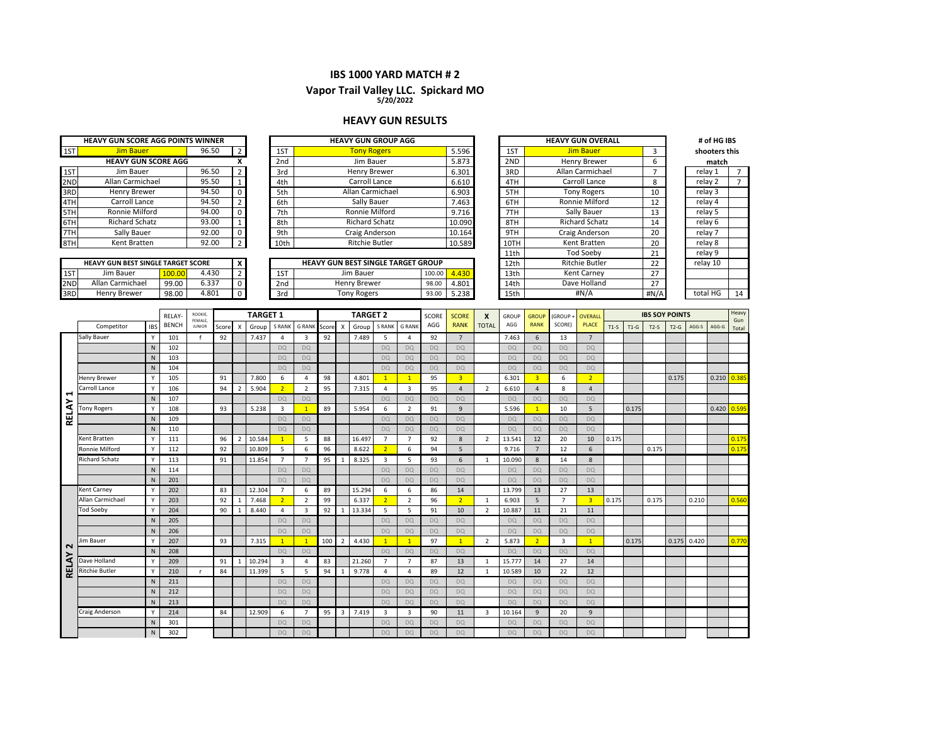#### **IBS 1000 YARD MATCH # 2**

# **Vapor Trail Valley LLC. Spickard MO 5/20/2022**

#### **HEAVY GUN RESULTS**

|     | <b>HEAVY GUN SCORE AGG POINTS WINNER</b>  |                |       |     |                                 |                 | <b>HEAVY GUN GROUP AGG</b>                |        |        |              | <b>HEAVY GUN OVERALL</b> |    | # of HG IBS   |              |
|-----|-------------------------------------------|----------------|-------|-----|---------------------------------|-----------------|-------------------------------------------|--------|--------|--------------|--------------------------|----|---------------|--------------|
| 1ST | <b>Jim Bauer</b>                          |                | 96.50 |     |                                 | 1ST             | <b>Tony Rogers</b>                        |        | 5.596  | 1ST          | Jim Bauer                |    | shooters this |              |
|     | <b>HEAVY GUN SCORE AGG</b>                |                |       |     |                                 | 2 <sub>nd</sub> | Jim Bauer                                 |        | 5.873  | 2ND          | Henry Brewer             | 6  | match         |              |
| 1ST | Jim Bauer                                 |                | 96.50 |     |                                 | 3rd             | Henry Brewer                              | 6.301  |        | 3RD          | Allan Carmichael         |    | relay 1       |              |
| 2ND | Allan Carmichael                          |                | 95.50 |     |                                 | 4th             | Carroll Lance                             |        | 6.610  | 4TH          | Carroll Lance            | 8  | relay 2       |              |
| 3RD | Henry Brewer                              |                | 94.50 |     |                                 | 5th             | Allan Carmichael                          |        | 6.903  | 5TH          | <b>Tony Rogers</b>       | 10 | relay 3       |              |
| 4TH | Carroll Lance                             |                | 94.50 |     |                                 | 6th             | Sally Bauer                               |        | 7.463  | 6TH          | Ronnie Milford           | 12 | relay 4       |              |
| 5TH | Ronnie Milford                            |                | 94.00 |     |                                 | 7th             | Ronnie Milford                            | 9.716  |        | 7TH          | Sally Bauer              | 13 | relay 5       |              |
| 6TH | <b>Richard Schatz</b>                     |                | 93.00 |     |                                 | 8th             | <b>Richard Schatz</b>                     | 10.090 |        | 8TH          | <b>Richard Schatz</b>    | 14 | relay 6       |              |
| 7TH | Sally Bauer                               |                | 92.00 |     |                                 | 9th             | Craig Anderson                            |        | 10.164 | 9TH          | Craig Anderson           | 20 | relay 7       |              |
| 8TH | Kent Bratten                              |                | 92.00 |     |                                 | 10th            | <b>Ritchie Butler</b>                     | 10.589 |        | 10TH         | Kent Bratten             | 20 | relay 8       |              |
|     |                                           |                |       |     |                                 |                 |                                           |        |        | 11th         | <b>Tod Soebv</b>         | 21 | relay 9       |              |
|     | <b>HEAVY GUN BEST SINGLE TARGET SCORE</b> |                |       | x   |                                 |                 | <b>HEAVY GUN BEST SINGLE TARGET GROUP</b> |        |        | 12th         | <b>Ritchie Butler</b>    | 22 | relay 10      |              |
| 1ST | Jim Bauer                                 | 100.00         | 4.430 |     |                                 | 1ST             | Jim Bauer                                 | 100.00 | 4.430  | 13th         | Kent Carnev              | 27 |               |              |
| 2ND | Allan Carmichael                          | 99.00          | 6.337 |     | Henry Brewer<br>2 <sub>nd</sub> |                 | 4.801<br>98.00                            |        | 14th   | Dave Holland | 27                       |    |               |              |
| 3RD | Henry Brewer                              | 4.801<br>98.00 |       | 3rd | <b>Tony Rogers</b>              | 5.238<br>93.00  |                                           | 15th   | #N/A   | #N/A         | total HG                 | 14 |               |              |
|     |                                           |                |       |     |                                 |                 |                                           |        |        |              |                          |    |               |              |
|     |                                           |                |       |     |                                 |                 |                                           |        |        |              |                          |    |               | <b>Titan</b> |

|              |                       |              | RELAY-       | ROOKIE,                  |         | <b>TARGET 1</b> |        |                |                    |     |                           | <b>TARGET 2</b> |                |                | SCORE     | <b>SCORE</b>            | X              | GROUP     | <b>GROUP</b>   | (GROUP+        | <b>OVERALL</b> |        |        | <b>IBS SOY POINTS</b> |               |       |       | Heavy         |
|--------------|-----------------------|--------------|--------------|--------------------------|---------|-----------------|--------|----------------|--------------------|-----|---------------------------|-----------------|----------------|----------------|-----------|-------------------------|----------------|-----------|----------------|----------------|----------------|--------|--------|-----------------------|---------------|-------|-------|---------------|
|              | Competitor            | <b>IBS</b>   | <b>BENCH</b> | FEMALE,<br><b>JUNIOR</b> | Score X |                 | Group  | S RANK         | <b>GRANK</b> Score |     | $\boldsymbol{\mathsf{X}}$ | Group           | S RANK         | <b>G RANK</b>  | AGG       | <b>RANK</b>             | <b>TOTAL</b>   | AGG       | <b>RANK</b>    | SCORE)         | <b>PLACE</b>   | $T1-S$ | $T1-G$ | $T2-S$                | $T2-G$        | AGG-S | AGG-G | Gun<br>Total  |
|              | Sally Bauer           | Y            | 101          |                          | 92      |                 | 7.437  | 4              | 3                  | 92  |                           | 7.489           | 5              | 4              | 92        | $7^{\circ}$             |                | 7.463     | 6              | 13             | $\overline{7}$ |        |        |                       |               |       |       |               |
|              |                       | N            | 102          |                          |         |                 |        | <b>DQ</b>      | DQ                 |     |                           |                 | DQ             | <b>DQ</b>      | <b>DQ</b> | <b>DQ</b>               |                | <b>DQ</b> | <b>DQ</b>      | <b>DQ</b>      | <b>DQ</b>      |        |        |                       |               |       |       |               |
|              |                       | $\mathsf{N}$ | 103          |                          |         |                 |        | <b>DO</b>      | <b>DQ</b>          |     |                           |                 | <b>DO</b>      | <b>DQ</b>      | <b>DQ</b> | <b>DQ</b>               |                | <b>DQ</b> | <b>DO</b>      | <b>DQ</b>      | <b>DQ</b>      |        |        |                       |               |       |       |               |
|              |                       | N            | 104          |                          |         |                 |        | <b>DQ</b>      | <b>DQ</b>          |     |                           |                 | DQ             | <b>DQ</b>      | DQ        | DQ                      |                | <b>DO</b> | <b>DQ</b>      | <b>DQ</b>      | <b>DQ</b>      |        |        |                       |               |       |       |               |
|              | <b>Henry Brewer</b>   |              | 105          |                          | 91      |                 | 7.800  | 6              | $\overline{4}$     | 98  |                           | 4.801           | $\mathbf{1}$   | $\mathbf{1}$   | 95        | $\overline{\mathbf{3}}$ |                | 6.301     | 3 <sup>7</sup> | 6              | $\overline{2}$ |        |        |                       | 0.175         |       |       | $0.210$ 0.385 |
|              | Carroll Lance         | $\mathbf{v}$ | 106          |                          | 94      | $\overline{2}$  | 5.904  | 2 <sup>7</sup> | $\overline{2}$     | 95  |                           | 7.315           | $\overline{a}$ | $\overline{3}$ | 95        | $\Delta$                | $\overline{2}$ | 6.610     | $\overline{4}$ | 8              | $\overline{4}$ |        |        |                       |               |       |       |               |
| ↤            |                       | N            | 107          |                          |         |                 |        | <b>DQ</b>      | <b>DQ</b>          |     |                           |                 | DQ             | <b>DQ</b>      | <b>DQ</b> | <b>DQ</b>               |                | <b>DO</b> | <b>DQ</b>      | <b>DQ</b>      | <b>DQ</b>      |        |        |                       |               |       |       |               |
|              | <b>Tony Rogers</b>    | <b>V</b>     | 108          |                          | 93      |                 | 5.238  | 3              | $\overline{1}$     | 89  |                           | 5.954           | 6              | $\overline{2}$ | 91        | 9                       |                | 5.596     | 1              | 10             | 5              |        | 0.175  |                       |               |       | 0.420 | 0.595         |
| <b>RELAY</b> |                       | N            | 109          |                          |         |                 |        | <b>DO</b>      | <b>DQ</b>          |     |                           |                 | <b>DO</b>      | DQ             | <b>DQ</b> | DQ                      |                | <b>DQ</b> | <b>DQ</b>      | DO             | <b>DQ</b>      |        |        |                       |               |       |       |               |
|              |                       | N            | 110          |                          |         |                 |        | DQ             | <b>DQ</b>          |     |                           |                 | <b>DO</b>      | <b>DQ</b>      | <b>DQ</b> | <b>DQ</b>               |                | <b>DO</b> | DQ             | <b>DQ</b>      | <b>DQ</b>      |        |        |                       |               |       |       |               |
|              | Kent Bratten          | Y            | 111          |                          | 96      | $\overline{2}$  | 10.584 | $\mathbf{1}$   | 5                  | 88  |                           | 16.497          | $\overline{7}$ | $\overline{7}$ | 92        | 8                       | $\overline{2}$ | 13.541    | 12             | 20             | 10             | 0.175  |        |                       |               |       |       | 0.175         |
|              | Ronnie Milford        | <b>V</b>     | 112          |                          | 92      |                 | 10.809 | 5              | 6                  | 96  |                           | 8.622           | 2 <sup>1</sup> | 6              | 94        | 5                       |                | 9.716     | $\overline{7}$ | 12             | 6              |        |        | 0.175                 |               |       |       | 0.175         |
|              | <b>Richard Schatz</b> | <b>V</b>     | 113          |                          | 91      |                 | 11.854 | $\overline{7}$ | $\overline{7}$     | 95  | $\overline{1}$            | 8.325           | 3              | 5              | 93        | 6                       | $\overline{1}$ | 10.090    | 8              | 14             | $\mathbf{8}$   |        |        |                       |               |       |       |               |
|              |                       | N            | 114          |                          |         |                 |        | <b>DO</b>      | <b>DQ</b>          |     |                           |                 | <b>DO</b>      | <b>DO</b>      | <b>DQ</b> | <b>DQ</b>               |                | <b>DO</b> | <b>DQ</b>      | <b>DQ</b>      | <b>DQ</b>      |        |        |                       |               |       |       |               |
|              |                       | N            | 201          |                          |         |                 |        | DQ             | <b>DQ</b>          |     |                           |                 | <b>DO</b>      | <b>DQ</b>      | <b>DQ</b> | DQ                      |                | <b>DO</b> | DQ             | <b>DQ</b>      | <b>DQ</b>      |        |        |                       |               |       |       |               |
|              | Kent Carney           | <b>V</b>     | 202          |                          | 83      |                 | 12.304 | $\overline{7}$ | 6                  | 89  |                           | 15.294          | 6              | 6              | 86        | 14                      |                | 13.799    | 13             | 27             | 13             |        |        |                       |               |       |       |               |
|              | Allan Carmichael      | Y            | 203          |                          | 92      | 1               | 7.468  | 2 <sup>7</sup> | $\overline{2}$     | 99  |                           | 6.337           | 2 <sup>1</sup> | $\overline{2}$ | 96        | $\overline{2}$          | $\mathbf{1}$   | 6.903     | 5              | $\overline{7}$ | $\overline{3}$ | 0.175  |        | 0.175                 |               | 0.210 |       | 0.560         |
|              | <b>Tod Soeby</b>      |              | 204          |                          | 90      |                 | 8.440  | 4              | $\overline{3}$     | 92  | $\overline{1}$            | 13.334          | 5              | 5              | 91        | 10                      | $\overline{2}$ | 10.887    | 11             | 21             | 11             |        |        |                       |               |       |       |               |
|              |                       | N            | 205          |                          |         |                 |        | <b>DO</b>      | <b>DQ</b>          |     |                           |                 | DQ             | DQ             | <b>DQ</b> | <b>DQ</b>               |                | <b>DO</b> | <b>DQ</b>      | DO             | DO             |        |        |                       |               |       |       |               |
|              |                       | N            | 206          |                          |         |                 |        | <b>DO</b>      | <b>DQ</b>          |     |                           |                 | <b>DO</b>      | <b>DO</b>      | <b>DQ</b> | <b>DQ</b>               |                | <b>DO</b> | <b>DQ</b>      | <b>DO</b>      | <b>DQ</b>      |        |        |                       |               |       |       |               |
| $\sim$       | Jim Bauer             |              | 207          |                          | 93      |                 | 7.315  | $\mathbf{1}$   | -1                 | 100 | $\overline{2}$            | 4.430           | $\overline{1}$ |                | 97        | $\overline{1}$          | $\overline{2}$ | 5.873     | 2 <sup>1</sup> | 3              |                |        | 0.175  |                       | $0.175$ 0.420 |       |       | 0.770         |
|              |                       | N            | 208          |                          |         |                 |        | DQ             | <b>DQ</b>          |     |                           |                 | <b>DO</b>      | <b>DQ</b>      | <b>DQ</b> | <b>DQ</b>               |                | <b>DQ</b> | <b>DQ</b>      | DO             | DQ             |        |        |                       |               |       |       |               |
| <b>RELAY</b> | Dave Holland          | Y            | 209          |                          | 91      | 1               | 10.294 | 3              | $\overline{4}$     | 83  |                           | 21.260          | $\overline{7}$ | $\overline{7}$ | 87        | 13                      | 1              | 15.777    | 14             | 27             | 14             |        |        |                       |               |       |       |               |
|              | <b>Ritchie Butler</b> |              | 210          | <b>r</b>                 | 84      |                 | 11.399 | 5              | 5                  | 94  | $\overline{1}$            | 9.778           | $\overline{a}$ | 4              | 89        | 12                      | $\overline{1}$ | 10.589    | 10             | 22             | 12             |        |        |                       |               |       |       |               |
|              |                       | $\mathsf{N}$ | 211          |                          |         |                 |        | <b>DO</b>      | <b>DQ</b>          |     |                           |                 | <b>DO</b>      | <b>DO</b>      | <b>DQ</b> | <b>DQ</b>               |                | <b>DQ</b> | <b>DO</b>      | <b>DQ</b>      | <b>DQ</b>      |        |        |                       |               |       |       |               |
|              |                       | N            | 212          |                          |         |                 |        | <b>DO</b>      | <b>DQ</b>          |     |                           |                 | <b>DO</b>      | <b>DO</b>      | <b>DQ</b> | <b>DQ</b>               |                | <b>DQ</b> | <b>DQ</b>      | <b>DQ</b>      | <b>DQ</b>      |        |        |                       |               |       |       |               |
|              |                       | N            | 213          |                          |         |                 |        | <b>DQ</b>      | <b>DQ</b>          |     |                           |                 | DQ             | DQ             | <b>DQ</b> | <b>DQ</b>               |                | <b>DO</b> | <b>DQ</b>      | DO             | <b>DQ</b>      |        |        |                       |               |       |       |               |
|              | <b>Craig Anderson</b> |              | 214          |                          | 84      |                 | 12.909 | 6              | $\overline{7}$     | 95  | $\overline{3}$            | 7.419           | 3              | $\overline{3}$ | 90        | 11                      | 3              | 10.164    | 9              | 20             | $\overline{9}$ |        |        |                       |               |       |       |               |
|              |                       | N            | 301          |                          |         |                 |        | <b>DO</b>      | <b>DQ</b>          |     |                           |                 | <b>DO</b>      | <b>DQ</b>      | <b>DQ</b> | <b>DQ</b>               |                | <b>DQ</b> | <b>DQ</b>      | DO             | DO             |        |        |                       |               |       |       |               |
|              |                       | $\mathsf{N}$ | 302          |                          |         |                 |        | <b>DO</b>      | <b>DQ</b>          |     |                           |                 | <b>DQ</b>      | <b>DO</b>      | <b>DQ</b> | <b>DQ</b>               |                | <b>DO</b> | <b>DO</b>      | <b>DQ</b>      | <b>DQ</b>      |        |        |                       |               |       |       |               |